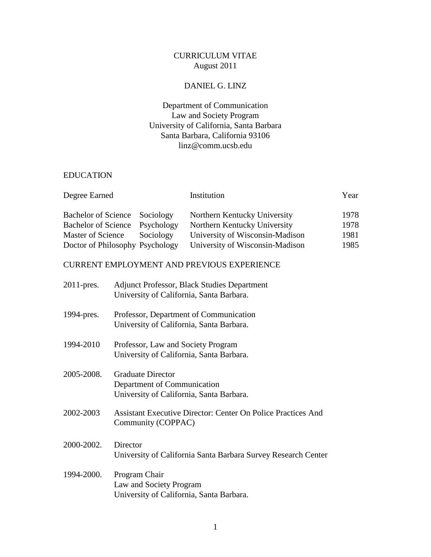# CURRICULUM VITAE August 2011

# DANIEL G. LINZ

# Department of Communication Law and Society Program University of California, Santa Barbara Santa Barbara, California 93106 linz@comm.ucsb.edu

## EDUCATION

|                                 | Institution                     | Year |
|---------------------------------|---------------------------------|------|
| Bachelor of Science Sociology   | Northern Kentucky University    | 1978 |
| Bachelor of Science Psychology  | Northern Kentucky University    | 1978 |
| Sociology                       | University of Wisconsin-Madison | 1981 |
| Doctor of Philosophy Psychology | University of Wisconsin-Madison | 1985 |
|                                 |                                 |      |

### CURRENT EMPLOYMENT AND PREVIOUS EXPERIENCE

| $2011$ -pres. | <b>Adjunct Professor, Black Studies Department</b><br>University of California, Santa Barbara.      |
|---------------|-----------------------------------------------------------------------------------------------------|
| 1994-pres.    | Professor, Department of Communication<br>University of California, Santa Barbara.                  |
| 1994-2010     | Professor, Law and Society Program<br>University of California, Santa Barbara.                      |
| 2005-2008.    | <b>Graduate Director</b><br>Department of Communication<br>University of California, Santa Barbara. |
| 2002-2003     | <b>Assistant Executive Director: Center On Police Practices And</b><br>Community (COPPAC)           |
| 2000-2002.    | Director<br>University of California Santa Barbara Survey Research Center                           |
| 1994-2000.    | Program Chair<br>Law and Society Program<br>University of California, Santa Barbara.                |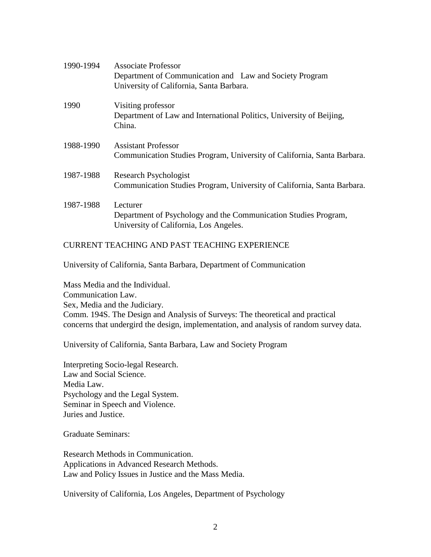| 1990-1994 | Associate Professor                                                                                 |
|-----------|-----------------------------------------------------------------------------------------------------|
|           | Department of Communication and Law and Society Program<br>University of California, Santa Barbara. |
| 1990      | Visiting professor                                                                                  |
|           | Department of Law and International Politics, University of Beijing,<br>China.                      |
| 1988-1990 | <b>Assistant Professor</b>                                                                          |
|           | Communication Studies Program, University of California, Santa Barbara.                             |
| 1987-1988 | Research Psychologist                                                                               |
|           | Communication Studies Program, University of California, Santa Barbara.                             |
| 1987-1988 | Lecturer                                                                                            |
|           | Department of Psychology and the Communication Studies Program,                                     |
|           | University of California, Los Angeles.                                                              |

# CURRENT TEACHING AND PAST TEACHING EXPERIENCE

University of California, Santa Barbara, Department of Communication

Mass Media and the Individual. Communication Law. Sex, Media and the Judiciary. Comm. 194S. The Design and Analysis of Surveys: The theoretical and practical concerns that undergird the design, implementation, and analysis of random survey data.

University of California, Santa Barbara, Law and Society Program

Interpreting Socio-legal Research. Law and Social Science. Media Law. Psychology and the Legal System. Seminar in Speech and Violence. Juries and Justice.

Graduate Seminars:

Research Methods in Communication. Applications in Advanced Research Methods. Law and Policy Issues in Justice and the Mass Media.

University of California, Los Angeles, Department of Psychology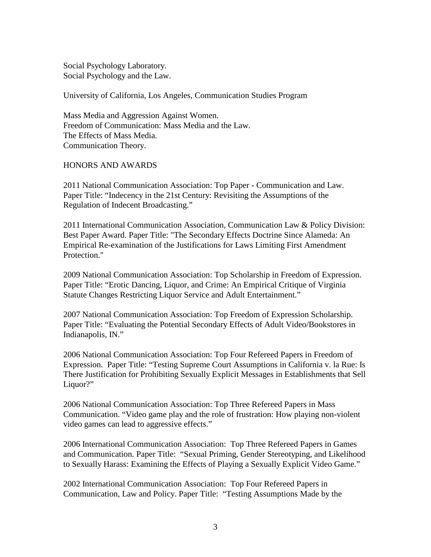Social Psychology Laboratory. Social Psychology and the Law.

University of California, Los Angeles, Communication Studies Program

Mass Media and Aggression Against Women. Freedom of Communication: Mass Media and the Law. The Effects of Mass Media. Communication Theory.

#### HONORS AND AWARDS

2011 National Communication Association: Top Paper - Communication and Law. Paper Title: "Indecency in the 21st Century: Revisiting the Assumptions of the Regulation of Indecent Broadcasting."

2011 International Communication Association, Communication Law & Policy Division: Best Paper Award. Paper Title: "The Secondary Effects Doctrine Since Alameda: An Empirical Re-examination of the Justifications for Laws Limiting First Amendment Protection."

2009 National Communication Association: Top Scholarship in Freedom of Expression. Paper Title: "Erotic Dancing, Liquor, and Crime: An Empirical Critique of Virginia Statute Changes Restricting Liquor Service and Adult Entertainment."

2007 National Communication Association: Top Freedom of Expression Scholarship. Paper Title: "Evaluating the Potential Secondary Effects of Adult Video/Bookstores in Indianapolis, IN."

2006 National Communication Association: Top Four Refereed Papers in Freedom of Expression. Paper Title: "Testing Supreme Court Assumptions in California v. la Rue: Is There Justification for Prohibiting Sexually Explicit Messages in Establishments that Sell Liquor?"

2006 National Communication Association: Top Three Refereed Papers in Mass Communication. "Video game play and the role of frustration: How playing non-violent video games can lead to aggressive effects."

2006 International Communication Association: Top Three Refereed Papers in Games and Communication. Paper Title: "Sexual Priming, Gender Stereotyping, and Likelihood to Sexually Harass: Examining the Effects of Playing a Sexually Explicit Video Game."

2002 International Communication Association: Top Four Refereed Papers in Communication, Law and Policy. Paper Title: "Testing Assumptions Made by the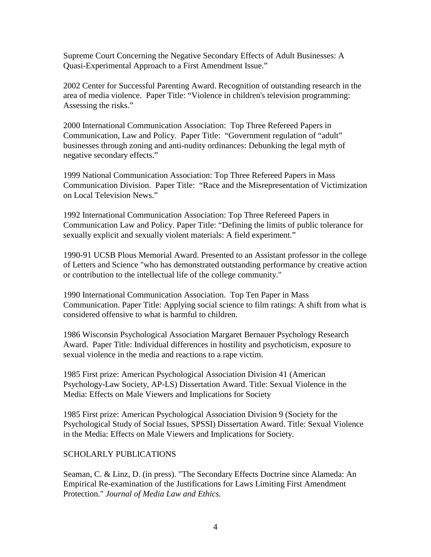Supreme Court Concerning the Negative Secondary Effects of Adult Businesses: A Quasi-Experimental Approach to a First Amendment Issue."

2002 Center for Successful Parenting Award. Recognition of outstanding research in the area of media violence. Paper Title: "Violence in children's television programming: Assessing the risks."

2000 International Communication Association: Top Three Refereed Papers in Communication, Law and Policy. Paper Title: "Government regulation of "adult" businesses through zoning and anti-nudity ordinances: Debunking the legal myth of negative secondary effects."

1999 National Communication Association: Top Three Refereed Papers in Mass Communication Division. Paper Title: "Race and the Misrepresentation of Victimization on Local Television News."

1992 International Communication Association: Top Three Refereed Papers in Communication Law and Policy. Paper Title: "Defining the limits of public tolerance for sexually explicit and sexually violent materials: A field experiment."

1990-91 UCSB Plous Memorial Award. Presented to an Assistant professor in the college of Letters and Science "who has demonstrated outstanding performance by creative action or contribution to the intellectual life of the college community."

1990 International Communication Association. Top Ten Paper in Mass Communication. Paper Title: Applying social science to film ratings: A shift from what is considered offensive to what is harmful to children.

1986 Wisconsin Psychological Association Margaret Bernauer Psychology Research Award. Paper Title: Individual differences in hostility and psychoticism, exposure to sexual violence in the media and reactions to a rape victim.

1985 First prize: American Psychological Association Division 41 (American Psychology-Law Society, AP-LS) Dissertation Award. Title: Sexual Violence in the Media: Effects on Male Viewers and Implications for Society

1985 First prize: American Psychological Association Division 9 (Society for the Psychological Study of Social Issues, SPSSI) Dissertation Award. Title: Sexual Violence in the Media: Effects on Male Viewers and Implications for Society.

# SCHOLARLY PUBLICATIONS

Seaman, C. & Linz, D. (in press). "The Secondary Effects Doctrine since Alameda: An Empirical Re-examination of the Justifications for Laws Limiting First Amendment Protection." *Journal of Media Law and Ethics.*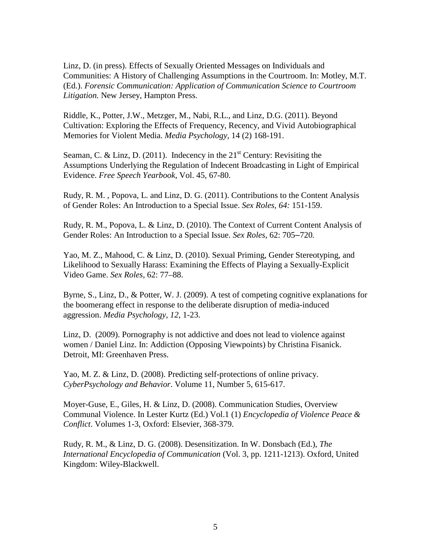Linz, D. (in press). Effects of Sexually Oriented Messages on Individuals and Communities: A History of Challenging Assumptions in the Courtroom. In: Motley, M.T. (Ed.). *Forensic Communication: Application of Communication Science to Courtroom Litigation.* New Jersey, Hampton Press.

Riddle, K., Potter, J.W., Metzger, M., Nabi, R.L., and Linz, D.G. (2011). Beyond Cultivation: Exploring the Effects of Frequency, Recency, and Vivid Autobiographical Memories for Violent Media. *Media Psychology,* 14 (2) 168-191.

Seaman, C. & Linz, D. (2011). Indecency in the  $21<sup>st</sup>$  Century: Revisiting the Assumptions Underlying the Regulation of Indecent Broadcasting in Light of Empirical Evidence. *Free Speech Yearbook*, Vol. 45, 67-80.

Rudy, R. M. , Popova, L. and Linz, D. G. (2011). Contributions to the Content Analysis of Gender Roles: An Introduction to a Special Issue. *Sex Roles, 64:* 151-159.

Rudy, R. M., Popova, L. & Linz, D. (2010). The Context of Current Content Analysis of Gender Roles: An Introduction to a Special Issue. *Sex Roles*, 62: 705–720*.*

Yao, M. Z., Mahood, C. & Linz, D. (2010). Sexual Priming, Gender Stereotyping, and Likelihood to Sexually Harass: Examining the Effects of Playing a Sexually-Explicit Video Game. *Sex Roles,* 62: 77–88.

Byrne, S., Linz, D., & Potter, W. J. (2009). A test of competing cognitive explanations for the boomerang effect in response to the deliberate disruption of media-induced aggression. *Media Psychology, 12*, 1-23.

Linz, D. (2009). Pornography is not addictive and does not lead to violence against women / Daniel Linz. In: Addiction (Opposing Viewpoints) by Christina Fisanick. Detroit, MI: Greenhaven Press.

Yao, M. Z. & Linz, D. (2008). Predicting self-protections of online privacy. *CyberPsychology and Behavior*. Volume 11, Number 5, 615-617.

Moyer-Guse, E., Giles, H. & Linz, D. (2008). Communication Studies, Overview Communal Violence. In Lester Kurtz (Ed.) Vol.1 (1) *Encyclopedia of Violence Peace & Conflict*. Volumes 1-3, Oxford: Elsevier, 368-379.

Rudy, R. M., & Linz, D. G. (2008). Desensitization. In W. Donsbach (Ed.), *The International Encyclopedia of Communication* (Vol. 3, pp. 1211-1213). Oxford, United Kingdom: Wiley-Blackwell.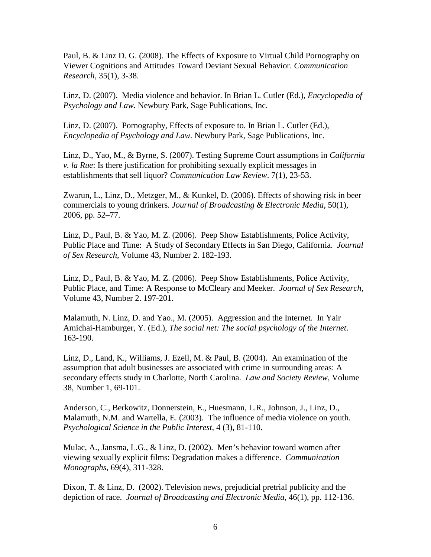Paul, B. & Linz D. G. (2008). The Effects of Exposure to Virtual Child Pornography on Viewer Cognitions and Attitudes Toward Deviant Sexual Behavior. *Communication Research,* 35(1), 3-38.

Linz, D. (2007). Media violence and behavior. In Brian L. Cutler (Ed.), *Encyclopedia of Psychology and Law.* Newbury Park, Sage Publications, Inc.

Linz, D. (2007). Pornography, Effects of exposure to. In Brian L. Cutler (Ed.), *Encyclopedia of Psychology and Law.* Newbury Park, Sage Publications, Inc.

Linz, D., Yao, M., & Byrne, S. (2007). Testing Supreme Court assumptions in *California v. la Rue*: Is there justification for prohibiting sexually explicit messages in establishments that sell liquor? *Communication Law Review*. 7(1), 23-53.

Zwarun, L., Linz, D., Metzger, M., & Kunkel, D. (2006). Effects of showing risk in beer commercials to young drinkers. *Journal of Broadcasting & Electronic Media*, 50(1), 2006, pp. 52–77.

Linz, D., Paul, B. & Yao, M. Z. (2006). Peep Show Establishments, Police Activity, Public Place and Time: A Study of Secondary Effects in San Diego, California. *Journal of Sex Research*, Volume 43, Number 2. 182-193.

Linz, D., Paul, B. & Yao, M. Z. (2006). Peep Show Establishments, Police Activity, Public Place, and Time: A Response to McCleary and Meeker. *Journal of Sex Research*, Volume 43, Number 2. 197-201.

Malamuth, N. Linz, D. and Yao., M. (2005). Aggression and the Internet. In Yair Amichai-Hamburger, Y. (Ed.), *The social net: The social psychology of the Internet*. 163-190.

Linz, D., Land, K., Williams, J. Ezell, M. & Paul, B. (2004). An examination of the assumption that adult businesses are associated with crime in surrounding areas: A secondary effects study in Charlotte, North Carolina. *Law and Society Review*, Volume 38, Number 1, 69-101.

Anderson, C., Berkowitz, Donnerstein, E., Huesmann, L.R., Johnson, J., Linz, D., Malamuth, N.M. and Wartella, E. (2003). The influence of media violence on youth. *Psychological Science in the Public Interest*, 4 (3), 81-110.

Mulac, A., Jansma, L.G., & Linz, D. (2002). Men's behavior toward women after viewing sexually explicit films: Degradation makes a difference. *Communication Monographs*, 69(4), 311-328.

Dixon, T. & Linz, D. (2002). Television news, prejudicial pretrial publicity and the depiction of race. *Journal of Broadcasting and Electronic Media*, 46(1), pp. 112-136.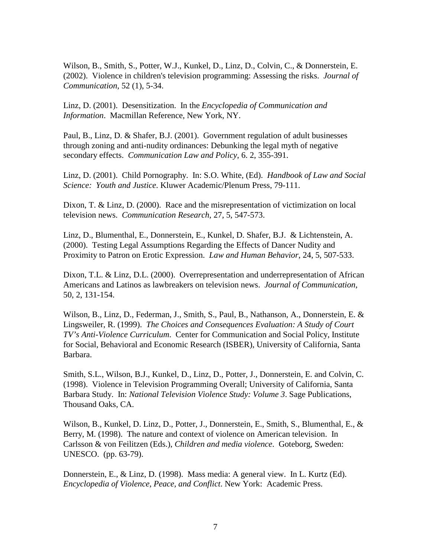Wilson, B., Smith, S., Potter, W.J., Kunkel, D., Linz, D., Colvin, C., & Donnerstein, E. (2002). Violence in children's television programming: Assessing the risks. *Journal of Communication*, 52 (1), 5-34.

Linz, D. (2001). Desensitization. In the *Encyclopedia of Communication and Information*. Macmillan Reference, New York, NY.

Paul, B., Linz, D. & Shafer, B.J. (2001). Government regulation of adult businesses through zoning and anti-nudity ordinances: Debunking the legal myth of negative secondary effects. *Communication Law and Policy*, 6. 2, 355-391.

Linz, D. (2001). Child Pornography. In: S.O. White, (Ed). *Handbook of Law and Social Science: Youth and Justice*. Kluwer Academic/Plenum Press, 79-111.

Dixon, T. & Linz, D. (2000). Race and the misrepresentation of victimization on local television news. *Communication Research*, 27, 5, 547-573.

Linz, D., Blumenthal, E., Donnerstein, E., Kunkel, D. Shafer, B.J. & Lichtenstein, A. (2000). Testing Legal Assumptions Regarding the Effects of Dancer Nudity and Proximity to Patron on Erotic Expression. *Law and Human Behavior*, 24, 5, 507-533.

Dixon, T.L. & Linz, D.L. (2000). Overrepresentation and underrepresentation of African Americans and Latinos as lawbreakers on television news. *Journal of Communication*, 50, 2, 131-154.

Wilson, B., Linz, D., Federman, J., Smith, S., Paul, B., Nathanson, A., Donnerstein, E. & Lingsweiler, R. (1999). *The Choices and Consequences Evaluation: A Study of Court TV's Anti-Violence Curriculum*. Center for Communication and Social Policy, Institute for Social, Behavioral and Economic Research (ISBER), University of California, Santa Barbara.

Smith, S.L., Wilson, B.J., Kunkel, D., Linz, D., Potter, J., Donnerstein, E. and Colvin, C. (1998). Violence in Television Programming Overall; University of California, Santa Barbara Study. In: *National Television Violence Study: Volume 3*. Sage Publications, Thousand Oaks, CA.

Wilson, B., Kunkel, D. Linz, D., Potter, J., Donnerstein, E., Smith, S., Blumenthal, E., & Berry, M. (1998). The nature and context of violence on American television. In Carlsson & von Feilitzen (Eds.), *Children and media violence*. Goteborg, Sweden: UNESCO. (pp. 63-79).

Donnerstein, E., & Linz, D. (1998). Mass media: A general view. In L. Kurtz (Ed). *Encyclopedia of Violence, Peace, and Conflict*. New York: Academic Press.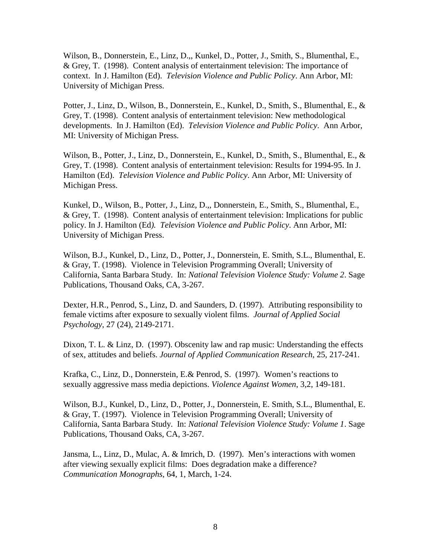Wilson, B., Donnerstein, E., Linz, D.,, Kunkel, D., Potter, J., Smith, S., Blumenthal, E., & Grey, T. (1998). Content analysis of entertainment television: The importance of context. In J. Hamilton (Ed). *Television Violence and Public Policy*. Ann Arbor, MI: University of Michigan Press.

Potter, J., Linz, D., Wilson, B., Donnerstein, E., Kunkel, D., Smith, S., Blumenthal, E., & Grey, T. (1998). Content analysis of entertainment television: New methodological developments. In J. Hamilton (Ed). *Television Violence and Public Policy*. Ann Arbor, MI: University of Michigan Press.

Wilson, B., Potter, J., Linz, D., Donnerstein, E., Kunkel, D., Smith, S., Blumenthal, E., & Grey, T. (1998). Content analysis of entertainment television: Results for 1994-95. In J. Hamilton (Ed). *Television Violence and Public Policy*. Ann Arbor, MI: University of Michigan Press.

Kunkel, D., Wilson, B., Potter, J., Linz, D.,, Donnerstein, E., Smith, S., Blumenthal, E., & Grey, T. (1998). Content analysis of entertainment television: Implications for public policy. In J. Hamilton (Ed*). Television Violence and Public Policy*. Ann Arbor, MI: University of Michigan Press.

Wilson, B.J., Kunkel, D., Linz, D., Potter, J., Donnerstein, E. Smith, S.L., Blumenthal, E. & Gray, T. (1998). Violence in Television Programming Overall; University of California, Santa Barbara Study. In: *National Television Violence Study: Volume 2*. Sage Publications, Thousand Oaks, CA, 3-267.

Dexter, H.R., Penrod, S., Linz, D. and Saunders, D. (1997). Attributing responsibility to female victims after exposure to sexually violent films. *Journal of Applied Social Psychology*, 27 (24), 2149-2171.

Dixon, T. L. & Linz, D. (1997). Obscenity law and rap music: Understanding the effects of sex, attitudes and beliefs. *Journal of Applied Communication Research*, 25, 217-241.

Krafka, C., Linz, D., Donnerstein, E.& Penrod, S. (1997). Women's reactions to sexually aggressive mass media depictions. *Violence Against Women*, 3,2, 149-181.

Wilson, B.J., Kunkel, D., Linz, D., Potter, J., Donnerstein, E. Smith, S.L., Blumenthal, E. & Gray, T. (1997). Violence in Television Programming Overall; University of California, Santa Barbara Study. In: *National Television Violence Study: Volume 1*. Sage Publications, Thousand Oaks, CA, 3-267.

Jansma, L., Linz, D., Mulac, A. & Imrich, D. (1997). Men's interactions with women after viewing sexually explicit films: Does degradation make a difference? *Communication Monographs*, 64, 1, March, 1-24.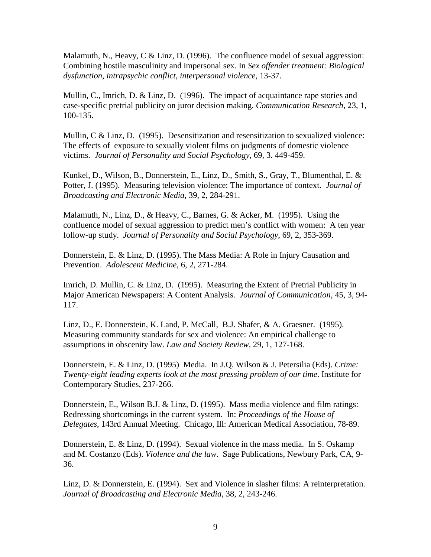Malamuth, N., Heavy, C  $&$  Linz, D. (1996). The confluence model of sexual aggression: Combining hostile masculinity and impersonal sex. In *Sex offender treatment: Biological dysfunction, intrapsychic conflict, interpersonal violence*, 13-37.

Mullin, C., Imrich, D. & Linz, D. (1996). The impact of acquaintance rape stories and case-specific pretrial publicity on juror decision making. *Communication Research*, 23, 1, 100-135.

Mullin, C & Linz, D. (1995). Desensitization and resensitization to sexualized violence: The effects of exposure to sexually violent films on judgments of domestic violence victims. *Journal of Personality and Social Psychology*, 69, 3. 449-459.

Kunkel, D., Wilson, B., Donnerstein, E., Linz, D., Smith, S., Gray, T., Blumenthal, E. & Potter, J. (1995). Measuring television violence: The importance of context. *Journal of Broadcasting and Electronic Media,* 39, 2, 284-291.

Malamuth, N., Linz, D., & Heavy, C., Barnes, G. & Acker, M. (1995). Using the confluence model of sexual aggression to predict men's conflict with women: A ten year follow-up study. *Journal of Personality and Social Psychology*, 69, 2, 353-369.

Donnerstein, E. & Linz, D. (1995). The Mass Media: A Role in Injury Causation and Prevention. *Adolescent Medicine*, 6, 2, 271-284.

Imrich, D. Mullin, C. & Linz, D. (1995). Measuring the Extent of Pretrial Publicity in Major American Newspapers: A Content Analysis. *Journal of Communication*, 45, 3, 94- 117.

Linz, D., E. Donnerstein, K. Land, P. McCall, B.J. Shafer, & A. Graesner. (1995). Measuring community standards for sex and violence: An empirical challenge to assumptions in obscenity law. *Law and Society Review*, 29, 1, 127-168.

Donnerstein, E. & Linz, D. (1995) Media. In J.Q. Wilson & J. Petersilia (Eds). *Crime: Twenty-eight leading experts look at the most pressing problem of our time*. Institute for Contemporary Studies, 237-266.

Donnerstein, E., Wilson B.J. & Linz, D. (1995). Mass media violence and film ratings: Redressing shortcomings in the current system. In: *Proceedings of the House of Delegates*, 143rd Annual Meeting. Chicago, Ill: American Medical Association, 78-89.

Donnerstein, E. & Linz, D. (1994). Sexual violence in the mass media. In S. Oskamp and M. Costanzo (Eds). *Violence and the law*. Sage Publications, Newbury Park, CA, 9- 36.

Linz, D. & Donnerstein, E. (1994). Sex and Violence in slasher films: A reinterpretation. *Journal of Broadcasting and Electronic Media*, 38, 2, 243-246.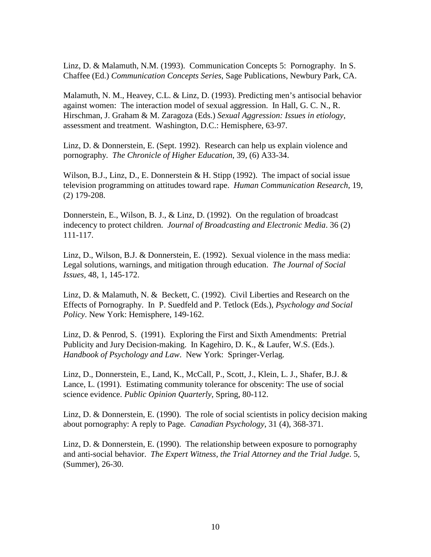Linz, D. & Malamuth, N.M. (1993). Communication Concepts 5: Pornography. In S. Chaffee (Ed.) *Communication Concepts Series*, Sage Publications, Newbury Park, CA.

Malamuth, N. M., Heavey, C.L. & Linz, D. (1993). Predicting men's antisocial behavior against women: The interaction model of sexual aggression. In Hall, G. C. N., R. Hirschman, J. Graham & M. Zaragoza (Eds.) *Sexual Aggression: Issues in etiology*, assessment and treatment. Washington, D.C.: Hemisphere, 63-97.

Linz, D. & Donnerstein, E. (Sept. 1992). Research can help us explain violence and pornography. *The Chronicle of Higher Education*, 39, (6) A33-34.

Wilson, B.J., Linz, D., E. Donnerstein & H. Stipp (1992). The impact of social issue television programming on attitudes toward rape. *Human Communication Research*, 19, (2) 179-208.

Donnerstein, E., Wilson, B. J., & Linz, D. (1992). On the regulation of broadcast indecency to protect children. *Journal of Broadcasting and Electronic Media*. 36 (2) 111-117.

Linz, D., Wilson, B.J. & Donnerstein, E. (1992). Sexual violence in the mass media: Legal solutions, warnings, and mitigation through education. *The Journal of Social Issues,* 48, 1, 145-172.

Linz, D. & Malamuth, N. & Beckett, C. (1992). Civil Liberties and Research on the Effects of Pornography. In P. Suedfeld and P. Tetlock (Eds.), *Psychology and Social Policy*. New York: Hemisphere, 149-162.

Linz, D. & Penrod, S. (1991). Exploring the First and Sixth Amendments: Pretrial Publicity and Jury Decision-making. In Kagehiro, D. K., & Laufer, W.S. (Eds.). *Handbook of Psychology and Law*. New York: Springer-Verlag.

Linz, D., Donnerstein, E., Land, K., McCall, P., Scott, J., Klein, L. J., Shafer, B.J. & Lance, L. (1991). Estimating community tolerance for obscenity: The use of social science evidence. *Public Opinion Quarterly*, Spring, 80-112.

Linz, D. & Donnerstein, E. (1990). The role of social scientists in policy decision making about pornography: A reply to Page. *Canadian Psychology*, 31 (4), 368-371.

Linz, D. & Donnerstein, E. (1990). The relationship between exposure to pornography and anti-social behavior. *The Expert Witness, the Trial Attorney and the Trial Judge*. 5, (Summer), 26-30.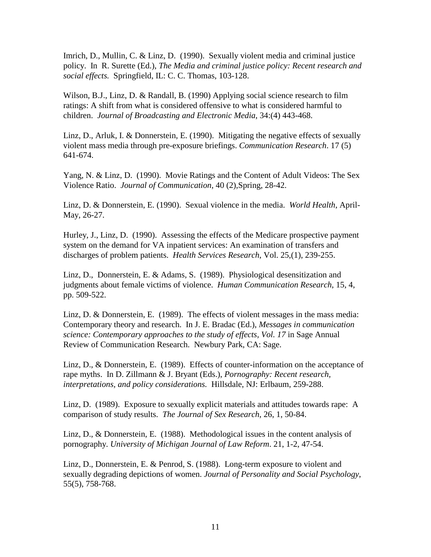Imrich, D., Mullin, C. & Linz, D. (1990). Sexually violent media and criminal justice policy. In R. Surette (Ed.), *The Media and criminal justice policy: Recent research and social effects.* Springfield, IL: C. C. Thomas, 103-128.

Wilson, B.J., Linz, D. & Randall, B. (1990) Applying social science research to film ratings: A shift from what is considered offensive to what is considered harmful to children. *Journal of Broadcasting and Electronic Media*, 34:(4) 443-468.

Linz, D., Arluk, I. & Donnerstein, E. (1990). Mitigating the negative effects of sexually violent mass media through pre-exposure briefings. *Communication Research*. 17 (5) 641-674.

Yang, N. & Linz, D. (1990). Movie Ratings and the Content of Adult Videos: The Sex Violence Ratio. *Journal of Communication*, 40 (2),Spring, 28-42.

Linz, D. & Donnerstein, E. (1990). Sexual violence in the media. *World Health*, April-May, 26-27.

Hurley, J., Linz, D. (1990). Assessing the effects of the Medicare prospective payment system on the demand for VA inpatient services: An examination of transfers and discharges of problem patients. *Health Services Research*, Vol. 25,(1), 239-255.

Linz, D., Donnerstein, E. & Adams, S. (1989). Physiological desensitization and judgments about female victims of violence. *Human Communication Research*, 15, 4, pp. 509-522.

Linz, D. & Donnerstein, E. (1989). The effects of violent messages in the mass media: Contemporary theory and research. In J. E. Bradac (Ed.), *Messages in communication science: Contemporary approaches to the study of effects, Vol. 17* in Sage Annual Review of Communication Research. Newbury Park, CA: Sage.

Linz, D., & Donnerstein, E. (1989). Effects of counter-information on the acceptance of rape myths. In D. Zillmann & J. Bryant (Eds.), *Pornography: Recent research, interpretations, and policy considerations.* Hillsdale, NJ: Erlbaum, 259-288.

Linz, D. (1989). Exposure to sexually explicit materials and attitudes towards rape: A comparison of study results. *The Journal of Sex Research*, 26, 1, 50-84.

Linz, D., & Donnerstein, E. (1988). Methodological issues in the content analysis of pornography. *University of Michigan Journal of Law Reform*. 21, 1-2, 47-54.

Linz, D., Donnerstein, E. & Penrod, S. (1988). Long-term exposure to violent and sexually degrading depictions of women. *Journal of Personality and Social Psychology*, 55(5), 758-768.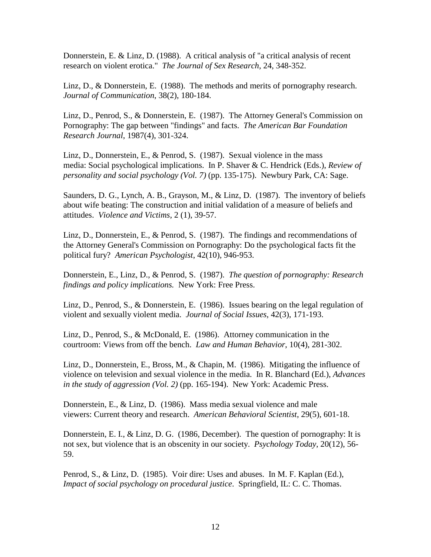Donnerstein, E. & Linz, D. (1988). A critical analysis of "a critical analysis of recent research on violent erotica." *The Journal of Sex Research*, 24, 348-352.

Linz, D., & Donnerstein, E. (1988). The methods and merits of pornography research. *Journal of Communication*, 38(2), 180-184.

Linz, D., Penrod, S., & Donnerstein, E. (1987). The Attorney General's Commission on Pornography: The gap between "findings" and facts. *The American Bar Foundation Research Journal*, 1987(4), 301-324.

Linz, D., Donnerstein, E., & Penrod, S. (1987). Sexual violence in the mass media: Social psychological implications. In P. Shaver & C. Hendrick (Eds.), *Review of personality and social psychology (Vol. 7)* (pp. 135-175). Newbury Park, CA: Sage.

Saunders, D. G., Lynch, A. B., Grayson, M., & Linz, D. (1987). The inventory of beliefs about wife beating: The construction and initial validation of a measure of beliefs and attitudes. *Violence and Victims*, 2 (1), 39-57.

Linz, D., Donnerstein, E., & Penrod, S. (1987). The findings and recommendations of the Attorney General's Commission on Pornography: Do the psychological facts fit the political fury? *American Psychologist*, 42(10), 946-953.

Donnerstein, E., Linz, D., & Penrod, S. (1987). *The question of pornography: Research findings and policy implications.* New York: Free Press.

Linz, D., Penrod, S., & Donnerstein, E. (1986). Issues bearing on the legal regulation of violent and sexually violent media. *Journal of Social Issues*, 42(3), 171-193.

Linz, D., Penrod, S., & McDonald, E. (1986). Attorney communication in the courtroom: Views from off the bench. *Law and Human Behavior*, 10(4), 281-302.

Linz, D., Donnerstein, E., Bross, M., & Chapin, M. (1986). Mitigating the influence of violence on television and sexual violence in the media. In R. Blanchard (Ed.), *Advances in the study of aggression (Vol. 2)* (pp. 165-194). New York: Academic Press.

Donnerstein, E., & Linz, D. (1986). Mass media sexual violence and male viewers: Current theory and research. *American Behavioral Scientist*, 29(5), 601-18.

Donnerstein, E. I., & Linz, D. G. (1986, December). The question of pornography: It is not sex, but violence that is an obscenity in our society. *Psychology Today*, 20(12), 56- 59.

Penrod, S., & Linz, D. (1985). Voir dire: Uses and abuses. In M. F. Kaplan (Ed.), *Impact of social psychology on procedural justice*. Springfield, IL: C. C. Thomas.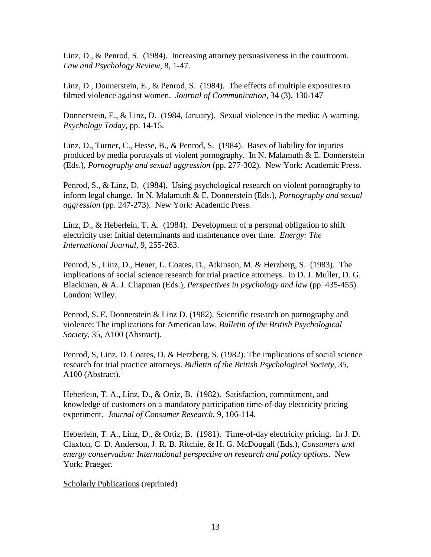Linz, D., & Penrod, S. (1984). Increasing attorney persuasiveness in the courtroom. *Law and Psychology Review*, 8, 1-47.

Linz, D., Donnerstein, E., & Penrod, S. (1984). The effects of multiple exposures to filmed violence against women. *Journal of Communication*, 34 (3), 130-147

Donnerstein, E., & Linz, D. (1984, January). Sexual violence in the media: A warning. *Psychology Today*, pp. 14-15.

Linz, D., Turner, C., Hesse, B., & Penrod, S. (1984). Bases of liability for injuries produced by media portrayals of violent pornography. In N. Malamuth  $&\,E$ . Donnerstein (Eds.), *Pornography and sexual aggression* (pp. 277-302). New York: Academic Press.

Penrod, S., & Linz, D. (1984). Using psychological research on violent pornography to inform legal change. In N. Malamuth & E. Donnerstein (Eds.), *Pornography and sexual aggression* (pp. 247-273). New York: Academic Press.

Linz, D., & Heberlein, T. A.  $(1984)$ . Development of a personal obligation to shift electricity use: Initial determinants and maintenance over time*. Energy: The International Journal,* 9, 255-263.

Penrod, S., Linz, D., Heuer, L. Coates, D., Atkinson, M. & Herzberg, S. (1983). The implications of social science research for trial practice attorneys. In D. J. Muller, D. G. Blackman, & A. J. Chapman (Eds.), *Perspectives in psychology and law* (pp. 435-455). London: Wiley.

Penrod, S. E. Donnerstein & Linz D. (1982). Scientific research on pornography and violence: The implications for American law. *Bulletin of the British Psychological Society*, 35, A100 (Abstract).

Penrod, S, Linz, D. Coates, D. & Herzberg, S. (1982). The implications of social science research for trial practice attorneys. *Bulletin of the British Psychological Society*, 35, A100 (Abstract).

Heberlein, T. A., Linz, D., & Ortiz, B. (1982). Satisfaction, commitment, and knowledge of customers on a mandatory participation time-of-day electricity pricing experiment. *Journal of Consumer Research*, 9, 106-114.

Heberlein, T. A., Linz, D., & Ortiz, B. (1981). Time-of-day electricity pricing. In J. D. Claxton, C. D. Anderson, J. R. B. Ritchie, & H. G. McDougall (Eds.), *Consumers and energy conservation: International perspective on research and policy options*. New York: Praeger.

Scholarly Publications (reprinted)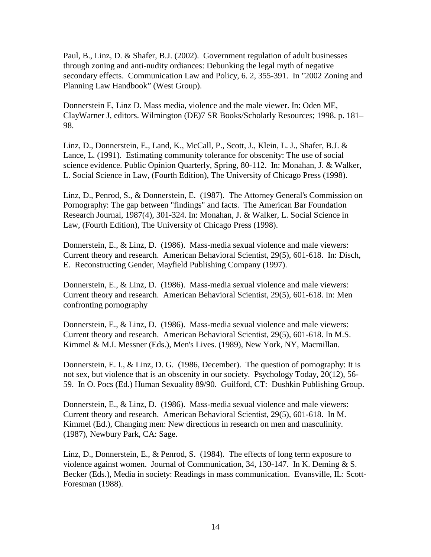Paul, B., Linz, D. & Shafer, B.J. (2002). Government regulation of adult businesses through zoning and anti-nudity ordiances: Debunking the legal myth of negative secondary effects. Communication Law and Policy, 6. 2, 355-391. In "2002 Zoning and Planning Law Handbook" (West Group).

Donnerstein E, Linz D. Mass media, violence and the male viewer. In: Oden ME, ClayWarner J, editors. Wilmington (DE)7 SR Books/Scholarly Resources; 1998. p. 181– 98.

Linz, D., Donnerstein, E., Land, K., McCall, P., Scott, J., Klein, L. J., Shafer, B.J. & Lance, L. (1991). Estimating community tolerance for obscenity: The use of social science evidence. Public Opinion Quarterly, Spring, 80-112. In: Monahan, J. & Walker, L. Social Science in Law, (Fourth Edition), The University of Chicago Press (1998).

Linz, D., Penrod, S., & Donnerstein, E. (1987). The Attorney General's Commission on Pornography: The gap between "findings" and facts. The American Bar Foundation Research Journal, 1987(4), 301-324. In: Monahan, J. & Walker, L. Social Science in Law, (Fourth Edition), The University of Chicago Press (1998).

Donnerstein, E., & Linz, D. (1986). Mass-media sexual violence and male viewers: Current theory and research. American Behavioral Scientist, 29(5), 601-618. In: Disch, E. Reconstructing Gender, Mayfield Publishing Company (1997).

Donnerstein, E., & Linz, D. (1986). Mass-media sexual violence and male viewers: Current theory and research. American Behavioral Scientist, 29(5), 601-618. In: Men confronting pornography

Donnerstein, E., & Linz, D. (1986). Mass-media sexual violence and male viewers: Current theory and research. American Behavioral Scientist, 29(5), 601-618. In M.S. Kimmel & M.I. Messner (Eds.), Men's Lives. (1989), New York, NY, Macmillan.

Donnerstein, E. I., & Linz, D. G. (1986, December). The question of pornography: It is not sex, but violence that is an obscenity in our society. Psychology Today, 20(12), 56- 59. In O. Pocs (Ed.) Human Sexuality 89/90. Guilford, CT: Dushkin Publishing Group.

Donnerstein, E., & Linz, D. (1986). Mass-media sexual violence and male viewers: Current theory and research. American Behavioral Scientist, 29(5), 601-618. In M. Kimmel (Ed.), Changing men: New directions in research on men and masculinity. (1987), Newbury Park, CA: Sage.

Linz, D., Donnerstein, E., & Penrod, S. (1984). The effects of long term exposure to violence against women. Journal of Communication, 34, 130-147. In K. Deming & S. Becker (Eds.), Media in society: Readings in mass communication. Evansville, IL: Scott-Foresman (1988).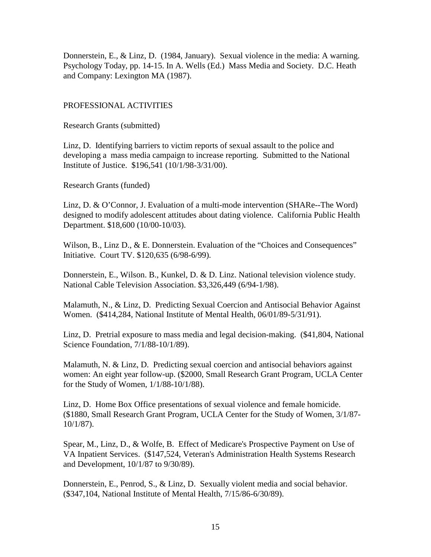Donnerstein, E., & Linz, D. (1984, January). Sexual violence in the media: A warning. Psychology Today, pp. 14-15. In A. Wells (Ed.) Mass Media and Society. D.C. Heath and Company: Lexington MA (1987).

### PROFESSIONAL ACTIVITIES

Research Grants (submitted)

Linz, D. Identifying barriers to victim reports of sexual assault to the police and developing a mass media campaign to increase reporting. Submitted to the National Institute of Justice. \$196,541 (10/1/98-3/31/00).

Research Grants (funded)

Linz, D. & O'Connor, J. Evaluation of a multi-mode intervention (SHARe--The Word) designed to modify adolescent attitudes about dating violence. California Public Health Department. \$18,600 (10/00-10/03).

Wilson, B., Linz D., & E. Donnerstein. Evaluation of the "Choices and Consequences" Initiative. Court TV. \$120,635 (6/98-6/99).

Donnerstein, E., Wilson. B., Kunkel, D. & D. Linz. National television violence study. National Cable Television Association. \$3,326,449 (6/94-1/98).

Malamuth, N., & Linz, D. Predicting Sexual Coercion and Antisocial Behavior Against Women. (\$414,284, National Institute of Mental Health, 06/01/89-5/31/91).

Linz, D. Pretrial exposure to mass media and legal decision-making. (\$41,804, National Science Foundation, 7/1/88-10/1/89).

Malamuth, N. & Linz, D. Predicting sexual coercion and antisocial behaviors against women: An eight year follow-up. (\$2000, Small Research Grant Program, UCLA Center for the Study of Women, 1/1/88-10/1/88).

Linz, D. Home Box Office presentations of sexual violence and female homicide. (\$1880, Small Research Grant Program, UCLA Center for the Study of Women, 3/1/87- 10/1/87).

Spear, M., Linz, D., & Wolfe, B. Effect of Medicare's Prospective Payment on Use of VA Inpatient Services. (\$147,524, Veteran's Administration Health Systems Research and Development, 10/1/87 to 9/30/89).

Donnerstein, E., Penrod, S., & Linz, D. Sexually violent media and social behavior. (\$347,104, National Institute of Mental Health, 7/15/86-6/30/89).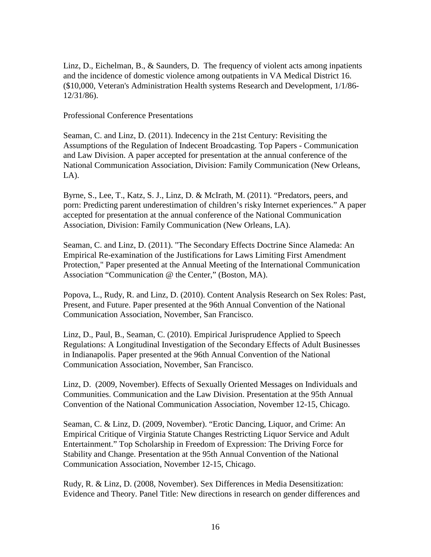Linz, D., Eichelman, B., & Saunders, D. The frequency of violent acts among inpatients and the incidence of domestic violence among outpatients in VA Medical District 16. (\$10,000, Veteran's Administration Health systems Research and Development, 1/1/86- 12/31/86).

Professional Conference Presentations

Seaman, C. and Linz, D. (2011). Indecency in the 21st Century: Revisiting the Assumptions of the Regulation of Indecent Broadcasting. Top Papers - Communication and Law Division. A paper accepted for presentation at the annual conference of the National Communication Association, Division: Family Communication (New Orleans,  $LA$ ).

Byrne, S., Lee, T., Katz, S. J., Linz, D. & McIrath, M. (2011). "Predators, peers, and porn: Predicting parent underestimation of children's risky Internet experiences." A paper accepted for presentation at the annual conference of the National Communication Association, Division: Family Communication (New Orleans, LA).

Seaman, C. and Linz, D. (2011). "The Secondary Effects Doctrine Since Alameda: An Empirical Re-examination of the Justifications for Laws Limiting First Amendment Protection," Paper presented at the Annual Meeting of the International Communication Association "Communication @ the Center," (Boston, MA).

Popova, L., Rudy, R. and Linz, D. (2010). Content Analysis Research on Sex Roles: Past, Present, and Future. Paper presented at the 96th Annual Convention of the National Communication Association, November, San Francisco.

Linz, D., Paul, B., Seaman, C. (2010). Empirical Jurisprudence Applied to Speech Regulations: A Longitudinal Investigation of the Secondary Effects of Adult Businesses in Indianapolis. Paper presented at the 96th Annual Convention of the National Communication Association, November, San Francisco.

Linz, D. (2009, November). [Effects of Sexually Oriented Messages on Individuals and](http://convention3.allacademic.com/one/nca/nca09/index.php?click_key=1&cmd=Multi+Search+Search+Load+Publication&publication_id=365864&PHPSESSID=4bdf4738e27a593718c7ecfbee289da4)  [Communities.](http://convention3.allacademic.com/one/nca/nca09/index.php?click_key=1&cmd=Multi+Search+Search+Load+Publication&publication_id=365864&PHPSESSID=4bdf4738e27a593718c7ecfbee289da4) Communication and the Law Division. Presentation at the 95th Annual Convention of the National Communication Association, November 12-15, Chicago.

Seaman, C. & Linz, D. (2009, November). "Erotic Dancing, Liquor, and Crime: An Empirical Critique of Virginia Statute Changes Restricting Liquor Service and Adult Entertainment." Top Scholarship in Freedom of Expression: The Driving Force for Stability and Change. Presentation at the 95th Annual Convention of the National Communication Association, November 12-15, Chicago.

Rudy, R. & Linz, D. (2008, November). Sex Differences in Media Desensitization: Evidence and Theory. Panel Title: New directions in research on gender differences and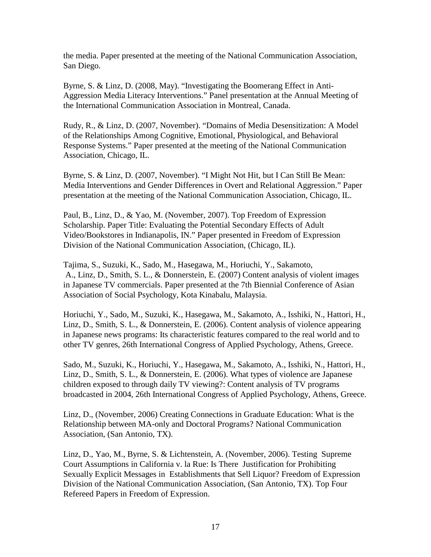the media. Paper presented at the meeting of the National Communication Association, San Diego.

Byrne, S. & Linz, D. (2008, May). "Investigating the Boomerang Effect in Anti-Aggression Media Literacy Interventions." Panel presentation at the Annual Meeting of the International Communication Association in Montreal, Canada.

Rudy, R., & Linz, D. (2007, November). "Domains of Media Desensitization: A Model of the Relationships Among Cognitive, Emotional, Physiological, and Behavioral Response Systems." Paper presented at the meeting of the National Communication Association, Chicago, IL.

Byrne, S. & Linz, D. (2007, November). "I Might Not Hit, but I Can Still Be Mean: Media Interventions and Gender Differences in Overt and Relational Aggression." Paper presentation at the meeting of the National Communication Association, Chicago, IL.

Paul, B., Linz, D., & Yao, M. (November, 2007). Top Freedom of Expression Scholarship. Paper Title: Evaluating the Potential Secondary Effects of Adult Video/Bookstores in Indianapolis, IN." Paper presented in Freedom of Expression Division of the National Communication Association, (Chicago, IL).

Tajima, S., Suzuki, K., Sado, M., Hasegawa, M., Horiuchi, Y., Sakamoto, A., Linz, D., Smith, S. L., & Donnerstein, E. (2007) Content analysis of violent images in Japanese TV commercials. Paper presented at the 7th Biennial Conference of Asian Association of Social Psychology, Kota Kinabalu, Malaysia.

Horiuchi, Y., Sado, M., Suzuki, K., Hasegawa, M., Sakamoto, A., Isshiki, N., Hattori, H., Linz, D., Smith, S. L., & Donnerstein, E. (2006). Content analysis of violence appearing in Japanese news programs: Its characteristic features compared to the real world and to other TV genres, 26th International Congress of Applied Psychology, Athens, Greece.

Sado, M., Suzuki, K., Horiuchi, Y., Hasegawa, M., Sakamoto, A., Isshiki, N., Hattori, H., Linz, D., Smith, S. L., & Donnerstein, E. (2006). What types of violence are Japanese children exposed to through daily TV viewing?: Content analysis of TV programs broadcasted in 2004, 26th International Congress of Applied Psychology, Athens, Greece.

Linz, D., (November, 2006) Creating Connections in Graduate Education: What is the Relationship between MA-only and Doctoral Programs? National Communication Association, (San Antonio, TX).

Linz, D., Yao, M., Byrne, S. & Lichtenstein, A. (November, 2006). Testing Supreme Court Assumptions in California v. la Rue: Is There Justification for Prohibiting Sexually Explicit Messages in Establishments that Sell Liquor? Freedom of Expression Division of the National Communication Association, (San Antonio, TX). Top Four Refereed Papers in Freedom of Expression.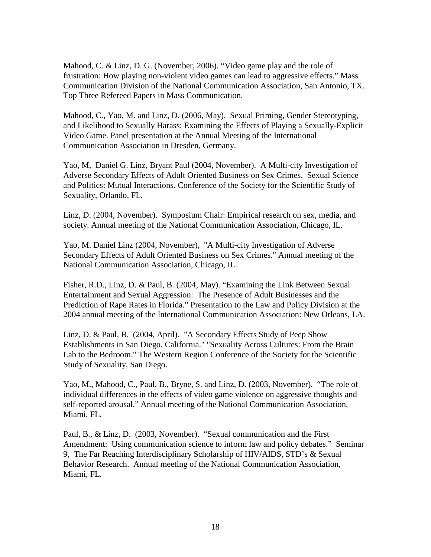Mahood, C. & Linz, D. G. (November, 2006). "Video game play and the role of frustration: How playing non-violent video games can lead to aggressive effects." Mass Communication Division of the National Communication Association, San Antonio, TX. Top Three Refereed Papers in Mass Communication.

Mahood, C., Yao, M. and Linz, D. (2006, May). Sexual Priming, Gender Stereotyping, and Likelihood to Sexually Harass: Examining the Effects of Playing a Sexually-Explicit Video Game. Panel presentation at the Annual Meeting of the International Communication Association in Dresden, Germany.

Yao, M, Daniel G. Linz, Bryant Paul (2004, November). A Multi-city Investigation of Adverse Secondary Effects of Adult Oriented Business on Sex Crimes. Sexual Science and Politics: Mutual Interactions. Conference of the Society for the Scientific Study of Sexuality, Orlando, FL.

Linz, D. (2004, November). Symposium Chair: Empirical research on sex, media, and society. Annual meeting of the National Communication Association, Chicago, IL.

Yao, M. Daniel Linz (2004, November), "A Multi-city Investigation of Adverse Secondary Effects of Adult Oriented Business on Sex Crimes." Annual meeting of the National Communication Association, Chicago, IL.

Fisher, R.D., Linz, D. & Paul, B. (2004, May). "Examining the Link Between Sexual Entertainment and Sexual Aggression: The Presence of Adult Businesses and the Prediction of Rape Rates in Florida." Presentation to the Law and Policy Division at the 2004 annual meeting of the International Communication Association: New Orleans, LA.

Linz, D. & Paul, B. (2004, April). "A Secondary Effects Study of Peep Show Establishments in San Diego, California." "Sexuality Across Cultures: From the Brain Lab to the Bedroom." The Western Region Conference of the Society for the Scientific Study of Sexuality, San Diego.

Yao, M., Mahood, C., Paul, B., Bryne, S. and Linz, D. (2003, November). "The role of individual differences in the effects of video game violence on aggressive thoughts and self-reported arousal." Annual meeting of the National Communication Association, Miami, FL.

Paul, B., & Linz, D. (2003, November). "Sexual communication and the First Amendment: Using communication science to inform law and policy debates." Seminar 9, The Far Reaching Interdisciplinary Scholarship of HIV/AIDS, STD's & Sexual Behavior Research. Annual meeting of the National Communication Association, Miami, FL.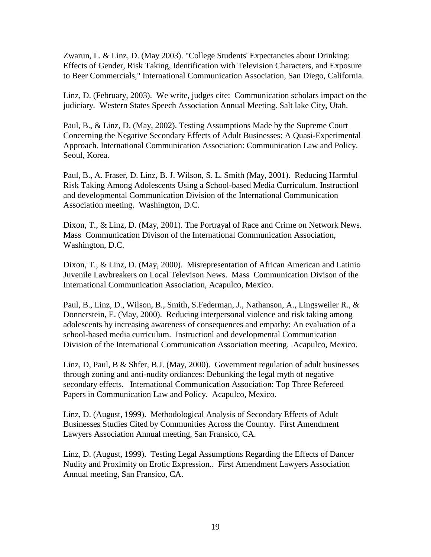Zwarun, L. & Linz, D. (May 2003). "College Students' Expectancies about Drinking: Effects of Gender, Risk Taking, Identification with Television Characters, and Exposure to Beer Commercials," International Communication Association, San Diego, California.

Linz, D. (February, 2003). We write, judges cite: Communication scholars impact on the judiciary. Western States Speech Association Annual Meeting. Salt lake City, Utah.

Paul, B., & Linz, D. (May, 2002). Testing Assumptions Made by the Supreme Court Concerning the Negative Secondary Effects of Adult Businesses: A Quasi-Experimental Approach. International Communication Association: Communication Law and Policy. Seoul, Korea.

Paul, B., A. Fraser, D. Linz, B. J. Wilson, S. L. Smith (May, 2001). Reducing Harmful Risk Taking Among Adolescents Using a School-based Media Curriculum. Instructionl and developmental Communication Division of the International Communication Association meeting. Washington, D.C.

Dixon, T., & Linz, D. (May, 2001). The Portrayal of Race and Crime on Network News. Mass Communication Divison of the International Communication Association, Washington, D.C.

Dixon, T., & Linz, D. (May, 2000). Misrepresentation of African American and Latinio Juvenile Lawbreakers on Local Televison News. Mass Communication Divison of the International Communication Association, Acapulco, Mexico.

Paul, B., Linz, D., Wilson, B., Smith, S.Federman, J., Nathanson, A., Lingsweiler R., & Donnerstein, E. (May, 2000). Reducing interpersonal violence and risk taking among adolescents by increasing awareness of consequences and empathy: An evaluation of a school-based media curriculum. Instructionl and developmental Communication Division of the International Communication Association meeting. Acapulco, Mexico.

Linz, D, Paul, B & Shfer, B.J. (May, 2000). Government regulation of adult businesses through zoning and anti-nudity ordiances: Debunking the legal myth of negative secondary effects. International Communication Association: Top Three Refereed Papers in Communication Law and Policy. Acapulco, Mexico.

Linz, D. (August, 1999). Methodological Analysis of Secondary Effects of Adult Businesses Studies Cited by Communities Across the Country. First Amendment Lawyers Association Annual meeting, San Fransico, CA.

Linz, D. (August, 1999). Testing Legal Assumptions Regarding the Effects of Dancer Nudity and Proximity on Erotic Expression.. First Amendment Lawyers Association Annual meeting, San Fransico, CA.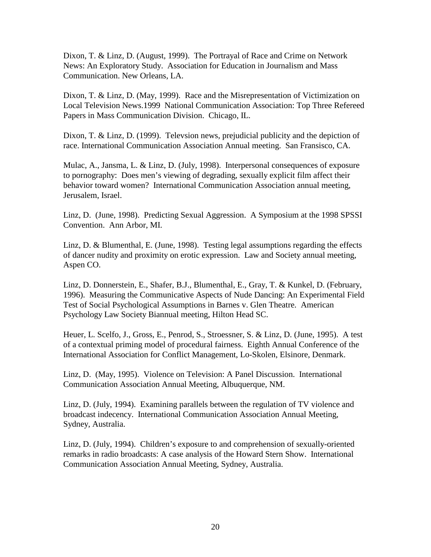Dixon, T. & Linz, D. (August, 1999). The Portrayal of Race and Crime on Network News: An Exploratory Study. Association for Education in Journalism and Mass Communication. New Orleans, LA.

Dixon, T. & Linz, D. (May, 1999). Race and the Misrepresentation of Victimization on Local Television News.1999 National Communication Association: Top Three Refereed Papers in Mass Communication Division. Chicago, IL.

Dixon, T. & Linz, D. (1999). Televsion news, prejudicial publicity and the depiction of race. International Communication Association Annual meeting. San Fransisco, CA.

Mulac, A., Jansma, L. & Linz, D. (July, 1998). Interpersonal consequences of exposure to pornography: Does men's viewing of degrading, sexually explicit film affect their behavior toward women? International Communication Association annual meeting, Jerusalem, Israel.

Linz, D. (June, 1998). Predicting Sexual Aggression. A Symposium at the 1998 SPSSI Convention. Ann Arbor, MI.

Linz, D. & Blumenthal, E. (June, 1998). Testing legal assumptions regarding the effects of dancer nudity and proximity on erotic expression. Law and Society annual meeting, Aspen CO.

Linz, D. Donnerstein, E., Shafer, B.J., Blumenthal, E., Gray, T. & Kunkel, D. (February, 1996). Measuring the Communicative Aspects of Nude Dancing: An Experimental Field Test of Social Psychological Assumptions in Barnes v. Glen Theatre. American Psychology Law Society Biannual meeting, Hilton Head SC.

Heuer, L. Scelfo, J., Gross, E., Penrod, S., Stroessner, S. & Linz, D. (June, 1995). A test of a contextual priming model of procedural fairness. Eighth Annual Conference of the International Association for Conflict Management, Lo-Skolen, Elsinore, Denmark.

Linz, D. (May, 1995). Violence on Television: A Panel Discussion. International Communication Association Annual Meeting, Albuquerque, NM.

Linz, D. (July, 1994). Examining parallels between the regulation of TV violence and broadcast indecency. International Communication Association Annual Meeting, Sydney, Australia.

Linz, D. (July, 1994). Children's exposure to and comprehension of sexually-oriented remarks in radio broadcasts: A case analysis of the Howard Stern Show. International Communication Association Annual Meeting, Sydney, Australia.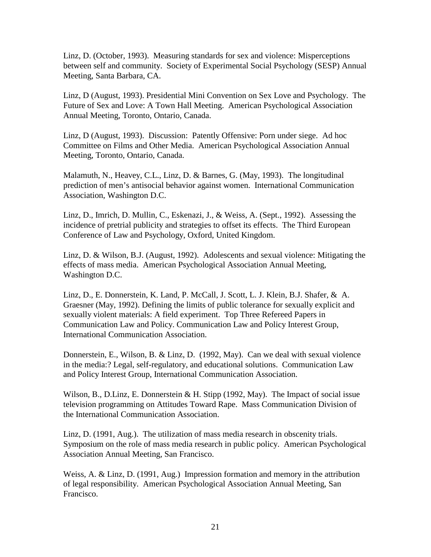Linz, D. (October, 1993). Measuring standards for sex and violence: Misperceptions between self and community. Society of Experimental Social Psychology (SESP) Annual Meeting, Santa Barbara, CA.

Linz, D (August, 1993). Presidential Mini Convention on Sex Love and Psychology. The Future of Sex and Love: A Town Hall Meeting. American Psychological Association Annual Meeting, Toronto, Ontario, Canada.

Linz, D (August, 1993). Discussion: Patently Offensive: Porn under siege. Ad hoc Committee on Films and Other Media. American Psychological Association Annual Meeting, Toronto, Ontario, Canada.

Malamuth, N., Heavey, C.L., Linz, D. & Barnes, G. (May, 1993). The longitudinal prediction of men's antisocial behavior against women. International Communication Association, Washington D.C.

Linz, D., Imrich, D. Mullin, C., Eskenazi, J., & Weiss, A. (Sept., 1992). Assessing the incidence of pretrial publicity and strategies to offset its effects. The Third European Conference of Law and Psychology, Oxford, United Kingdom.

Linz, D. & Wilson, B.J. (August, 1992). Adolescents and sexual violence: Mitigating the effects of mass media. American Psychological Association Annual Meeting, Washington D.C.

Linz, D., E. Donnerstein, K. Land, P. McCall, J. Scott, L. J. Klein, B.J. Shafer, & A. Graesner (May, 1992). Defining the limits of public tolerance for sexually explicit and sexually violent materials: A field experiment. Top Three Refereed Papers in Communication Law and Policy. Communication Law and Policy Interest Group, International Communication Association.

Donnerstein, E., Wilson, B. & Linz, D. (1992, May). Can we deal with sexual violence in the media:? Legal, self-regulatory, and educational solutions. Communication Law and Policy Interest Group, International Communication Association.

Wilson, B., D.Linz, E. Donnerstein & H. Stipp (1992, May). The Impact of social issue television programming on Attitudes Toward Rape. Mass Communication Division of the International Communication Association.

Linz, D. (1991, Aug.). The utilization of mass media research in obscenity trials. Symposium on the role of mass media research in public policy. American Psychological Association Annual Meeting, San Francisco.

Weiss, A. & Linz, D. (1991, Aug.) Impression formation and memory in the attribution of legal responsibility. American Psychological Association Annual Meeting, San Francisco.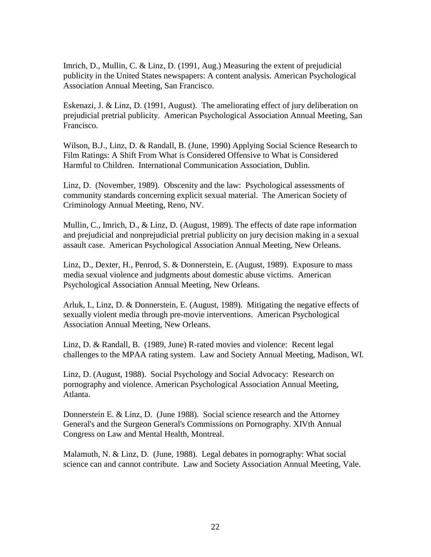Imrich, D., Mullin, C. & Linz, D. (1991, Aug.) Measuring the extent of prejudicial publicity in the United States newspapers: A content analysis. American Psychological Association Annual Meeting, San Francisco.

Eskenazi, J. & Linz, D. (1991, August). The ameliorating effect of jury deliberation on prejudicial pretrial publicity. American Psychological Association Annual Meeting, San Francisco.

Wilson, B.J., Linz, D. & Randall, B. (June, 1990) Applying Social Science Research to Film Ratings: A Shift From What is Considered Offensive to What is Considered Harmful to Children. International Communication Association, Dublin.

Linz, D. (November, 1989). Obscenity and the law: Psychological assessments of community standards concerning explicit sexual material. The American Society of Criminology Annual Meeting, Reno, NV.

Mullin, C., Imrich, D., & Linz, D. (August, 1989). The effects of date rape information and prejudicial and nonprejudicial pretrial publicity on jury decision making in a sexual assault case. American Psychological Association Annual Meeting, New Orleans.

Linz, D., Dexter, H., Penrod, S. & Donnerstein, E. (August, 1989). Exposure to mass media sexual violence and judgments about domestic abuse victims. American Psychological Association Annual Meeting, New Orleans.

Arluk, I., Linz, D. & Donnerstein, E. (August, 1989). Mitigating the negative effects of sexually violent media through pre-movie interventions. American Psychological Association Annual Meeting, New Orleans.

Linz, D. & Randall, B. (1989, June) R-rated movies and violence: Recent legal challenges to the MPAA rating system. Law and Society Annual Meeting, Madison, WI.

Linz, D. (August, 1988). Social Psychology and Social Advocacy: Research on pornography and violence. American Psychological Association Annual Meeting, Atlanta.

Donnerstein E. & Linz, D. (June 1988). Social science research and the Attorney General's and the Surgeon General's Commissions on Pornography. XIVth Annual Congress on Law and Mental Health, Montreal.

Malamuth, N. & Linz, D. (June, 1988). Legal debates in pornography: What social science can and cannot contribute. Law and Society Association Annual Meeting, Vale.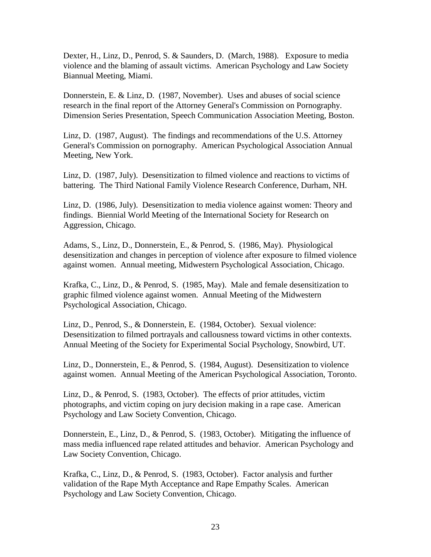Dexter, H., Linz, D., Penrod, S. & Saunders, D. (March, 1988). Exposure to media violence and the blaming of assault victims. American Psychology and Law Society Biannual Meeting, Miami.

Donnerstein, E. & Linz, D. (1987, November). Uses and abuses of social science research in the final report of the Attorney General's Commission on Pornography. Dimension Series Presentation, Speech Communication Association Meeting, Boston.

Linz, D. (1987, August). The findings and recommendations of the U.S. Attorney General's Commission on pornography. American Psychological Association Annual Meeting, New York.

Linz, D. (1987, July). Desensitization to filmed violence and reactions to victims of battering. The Third National Family Violence Research Conference, Durham, NH.

Linz, D. (1986, July). Desensitization to media violence against women: Theory and findings. Biennial World Meeting of the International Society for Research on Aggression, Chicago.

Adams, S., Linz, D., Donnerstein, E., & Penrod, S. (1986, May). Physiological desensitization and changes in perception of violence after exposure to filmed violence against women. Annual meeting, Midwestern Psychological Association, Chicago.

Krafka, C., Linz, D., & Penrod, S. (1985, May). Male and female desensitization to graphic filmed violence against women. Annual Meeting of the Midwestern Psychological Association, Chicago.

Linz, D., Penrod, S., & Donnerstein, E. (1984, October). Sexual violence: Desensitization to filmed portrayals and callousness toward victims in other contexts. Annual Meeting of the Society for Experimental Social Psychology, Snowbird, UT.

Linz, D., Donnerstein, E., & Penrod, S. (1984, August). Desensitization to violence against women. Annual Meeting of the American Psychological Association, Toronto.

Linz, D., & Penrod, S. (1983, October). The effects of prior attitudes, victim photographs, and victim coping on jury decision making in a rape case. American Psychology and Law Society Convention, Chicago.

Donnerstein, E., Linz, D., & Penrod, S. (1983, October). Mitigating the influence of mass media influenced rape related attitudes and behavior. American Psychology and Law Society Convention, Chicago.

Krafka, C., Linz, D., & Penrod, S. (1983, October). Factor analysis and further validation of the Rape Myth Acceptance and Rape Empathy Scales. American Psychology and Law Society Convention, Chicago.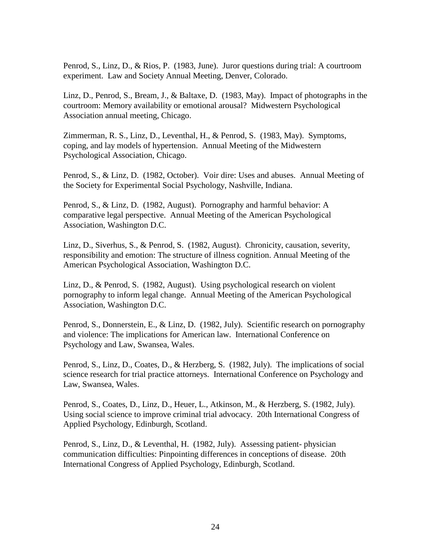Penrod, S., Linz, D., & Rios, P. (1983, June). Juror questions during trial: A courtroom experiment. Law and Society Annual Meeting, Denver, Colorado.

Linz, D., Penrod, S., Bream, J., & Baltaxe, D. (1983, May). Impact of photographs in the courtroom: Memory availability or emotional arousal? Midwestern Psychological Association annual meeting, Chicago.

Zimmerman, R. S., Linz, D., Leventhal, H., & Penrod, S. (1983, May). Symptoms, coping, and lay models of hypertension. Annual Meeting of the Midwestern Psychological Association, Chicago.

Penrod, S., & Linz, D. (1982, October). Voir dire: Uses and abuses. Annual Meeting of the Society for Experimental Social Psychology, Nashville, Indiana.

Penrod, S., & Linz, D. (1982, August). Pornography and harmful behavior: A comparative legal perspective. Annual Meeting of the American Psychological Association, Washington D.C.

Linz, D., Siverhus, S., & Penrod, S. (1982, August). Chronicity, causation, severity, responsibility and emotion: The structure of illness cognition. Annual Meeting of the American Psychological Association, Washington D.C.

Linz, D., & Penrod, S. (1982, August). Using psychological research on violent pornography to inform legal change. Annual Meeting of the American Psychological Association, Washington D.C.

Penrod, S., Donnerstein, E., & Linz, D. (1982, July). Scientific research on pornography and violence: The implications for American law. International Conference on Psychology and Law, Swansea, Wales.

Penrod, S., Linz, D., Coates, D., & Herzberg, S. (1982, July). The implications of social science research for trial practice attorneys. International Conference on Psychology and Law, Swansea, Wales.

Penrod, S., Coates, D., Linz, D., Heuer, L., Atkinson, M., & Herzberg, S. (1982, July). Using social science to improve criminal trial advocacy. 20th International Congress of Applied Psychology, Edinburgh, Scotland.

Penrod, S., Linz, D., & Leventhal, H. (1982, July). Assessing patient- physician communication difficulties: Pinpointing differences in conceptions of disease. 20th International Congress of Applied Psychology, Edinburgh, Scotland.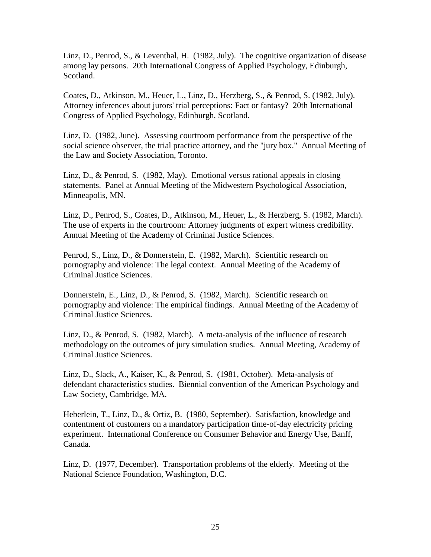Linz, D., Penrod, S., & Leventhal, H. (1982, July). The cognitive organization of disease among lay persons. 20th International Congress of Applied Psychology, Edinburgh, Scotland.

Coates, D., Atkinson, M., Heuer, L., Linz, D., Herzberg, S., & Penrod, S. (1982, July). Attorney inferences about jurors' trial perceptions: Fact or fantasy? 20th International Congress of Applied Psychology, Edinburgh, Scotland.

Linz, D. (1982, June). Assessing courtroom performance from the perspective of the social science observer, the trial practice attorney, and the "jury box." Annual Meeting of the Law and Society Association, Toronto.

Linz, D., & Penrod, S. (1982, May). Emotional versus rational appeals in closing statements. Panel at Annual Meeting of the Midwestern Psychological Association, Minneapolis, MN.

Linz, D., Penrod, S., Coates, D., Atkinson, M., Heuer, L., & Herzberg, S. (1982, March). The use of experts in the courtroom: Attorney judgments of expert witness credibility. Annual Meeting of the Academy of Criminal Justice Sciences.

Penrod, S., Linz, D., & Donnerstein, E. (1982, March). Scientific research on pornography and violence: The legal context. Annual Meeting of the Academy of Criminal Justice Sciences.

Donnerstein, E., Linz, D., & Penrod, S. (1982, March). Scientific research on pornography and violence: The empirical findings. Annual Meeting of the Academy of Criminal Justice Sciences.

Linz, D., & Penrod, S. (1982, March). A meta-analysis of the influence of research methodology on the outcomes of jury simulation studies. Annual Meeting, Academy of Criminal Justice Sciences.

Linz, D., Slack, A., Kaiser, K., & Penrod, S. (1981, October). Meta-analysis of defendant characteristics studies. Biennial convention of the American Psychology and Law Society, Cambridge, MA.

Heberlein, T., Linz, D., & Ortiz, B. (1980, September). Satisfaction, knowledge and contentment of customers on a mandatory participation time-of-day electricity pricing experiment. International Conference on Consumer Behavior and Energy Use, Banff, Canada.

Linz, D. (1977, December). Transportation problems of the elderly. Meeting of the National Science Foundation, Washington, D.C.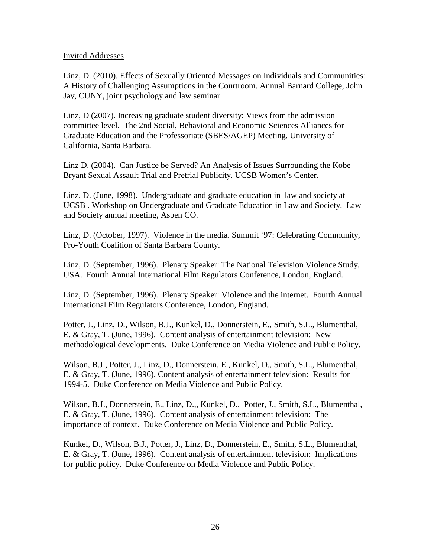#### Invited Addresses

Linz, D. (2010). Effects of Sexually Oriented Messages on Individuals and Communities: A History of Challenging Assumptions in the Courtroom. Annual Barnard College, John Jay, CUNY, joint psychology and law seminar.

Linz, D (2007). Increasing graduate student diversity: Views from the admission committee level. The 2nd Social, Behavioral and Economic Sciences Alliances for Graduate Education and the Professoriate (SBES/AGEP) Meeting. University of California, Santa Barbara.

Linz D. (2004). Can Justice be Served? An Analysis of Issues Surrounding the Kobe Bryant Sexual Assault Trial and Pretrial Publicity. UCSB Women's Center.

Linz, D. (June, 1998). Undergraduate and graduate education in law and society at UCSB . Workshop on Undergraduate and Graduate Education in Law and Society. Law and Society annual meeting, Aspen CO.

Linz, D. (October, 1997). Violence in the media. Summit '97: Celebrating Community, Pro-Youth Coalition of Santa Barbara County.

Linz, D. (September, 1996). Plenary Speaker: The National Television Violence Study, USA. Fourth Annual International Film Regulators Conference, London, England.

Linz, D. (September, 1996). Plenary Speaker: Violence and the internet. Fourth Annual International Film Regulators Conference, London, England.

Potter, J., Linz, D., Wilson, B.J., Kunkel, D., Donnerstein, E., Smith, S.L., Blumenthal, E. & Gray, T. (June, 1996). Content analysis of entertainment television: New methodological developments. Duke Conference on Media Violence and Public Policy.

Wilson, B.J., Potter, J., Linz, D., Donnerstein, E., Kunkel, D., Smith, S.L., Blumenthal, E. & Gray, T. (June, 1996). Content analysis of entertainment television: Results for 1994-5. Duke Conference on Media Violence and Public Policy.

Wilson, B.J., Donnerstein, E., Linz, D.,, Kunkel, D., Potter, J., Smith, S.L., Blumenthal, E. & Gray, T. (June, 1996). Content analysis of entertainment television: The importance of context. Duke Conference on Media Violence and Public Policy.

Kunkel, D., Wilson, B.J., Potter, J., Linz, D., Donnerstein, E., Smith, S.L., Blumenthal, E. & Gray, T. (June, 1996). Content analysis of entertainment television: Implications for public policy. Duke Conference on Media Violence and Public Policy.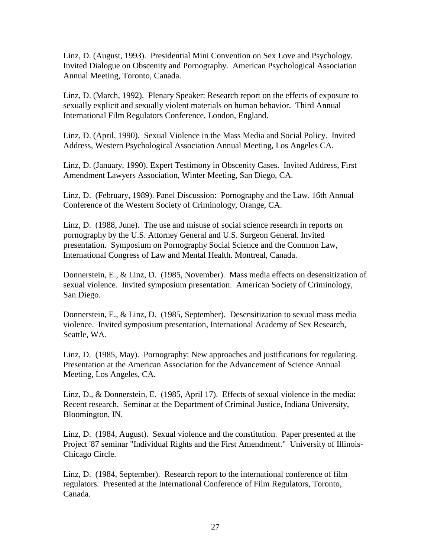Linz, D. (August, 1993). Presidential Mini Convention on Sex Love and Psychology. Invited Dialogue on Obscenity and Pornography. American Psychological Association Annual Meeting, Toronto, Canada.

Linz, D. (March, 1992). Plenary Speaker: Research report on the effects of exposure to sexually explicit and sexually violent materials on human behavior. Third Annual International Film Regulators Conference, London, England.

Linz, D. (April, 1990). Sexual Violence in the Mass Media and Social Policy. Invited Address, Western Psychological Association Annual Meeting, Los Angeles CA.

Linz, D. (January, 1990). Expert Testimony in Obscenity Cases. Invited Address, First Amendment Lawyers Association, Winter Meeting, San Diego, CA.

Linz, D. (February, 1989). Panel Discussion: Pornography and the Law. 16th Annual Conference of the Western Society of Criminology, Orange, CA.

Linz, D. (1988, June). The use and misuse of social science research in reports on pornography by the U.S. Attorney General and U.S. Surgeon General. Invited presentation. Symposium on Pornography Social Science and the Common Law, International Congress of Law and Mental Health. Montreal, Canada.

Donnerstein, E., & Linz, D. (1985, November). Mass media effects on desensitization of sexual violence. Invited symposium presentation. American Society of Criminology, San Diego.

Donnerstein, E., & Linz, D. (1985, September). Desensitization to sexual mass media violence. Invited symposium presentation, International Academy of Sex Research, Seattle, WA.

Linz, D. (1985, May). Pornography: New approaches and justifications for regulating. Presentation at the American Association for the Advancement of Science Annual Meeting, Los Angeles, CA.

Linz, D., & Donnerstein, E. (1985, April 17). Effects of sexual violence in the media: Recent research. Seminar at the Department of Criminal Justice, Indiana University, Bloomington, IN.

Linz, D. (1984, August). Sexual violence and the constitution. Paper presented at the Project '87 seminar "Individual Rights and the First Amendment." University of Illinois-Chicago Circle.

Linz, D. (1984, September). Research report to the international conference of film regulators. Presented at the International Conference of Film Regulators, Toronto, Canada.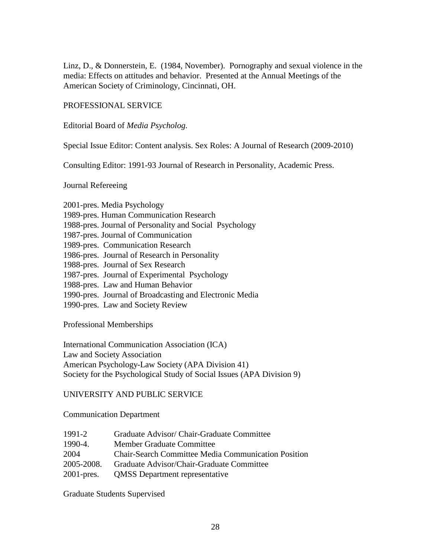Linz, D., & Donnerstein, E. (1984, November). Pornography and sexual violence in the media: Effects on attitudes and behavior. Presented at the Annual Meetings of the American Society of Criminology, Cincinnati, OH.

### PROFESSIONAL SERVICE

Editorial Board of *Media Psycholog.*

Special Issue Editor: Content analysis. Sex Roles: A Journal of Research (2009-2010)

Consulting Editor: 1991-93 Journal of Research in Personality, Academic Press.

### Journal Refereeing

| 2001-pres. Media Psychology                             |  |
|---------------------------------------------------------|--|
| 1989-pres. Human Communication Research                 |  |
| 1988-pres. Journal of Personality and Social Psychology |  |
| 1987-pres. Journal of Communication                     |  |
| 1989-pres. Communication Research                       |  |
| 1986-pres. Journal of Research in Personality           |  |
| 1988-pres. Journal of Sex Research                      |  |
| 1987-pres. Journal of Experimental Psychology           |  |
| 1988-pres. Law and Human Behavior                       |  |
| 1990-pres. Journal of Broadcasting and Electronic Media |  |
| 1990-pres. Law and Society Review                       |  |
|                                                         |  |

Professional Memberships

International Communication Association (ICA) Law and Society Association American Psychology-Law Society (APA Division 41) Society for the Psychological Study of Social Issues (APA Division 9)

# UNIVERSITY AND PUBLIC SERVICE

Communication Department

| $1991 - 2$    | Graduate Advisor/ Chair-Graduate Committee                 |
|---------------|------------------------------------------------------------|
| $1990 - 4$ .  | Member Graduate Committee                                  |
| 2004          | <b>Chair-Search Committee Media Communication Position</b> |
| 2005-2008.    | Graduate Advisor/Chair-Graduate Committee                  |
| $2001$ -pres. | <b>QMSS</b> Department representative                      |

Graduate Students Supervised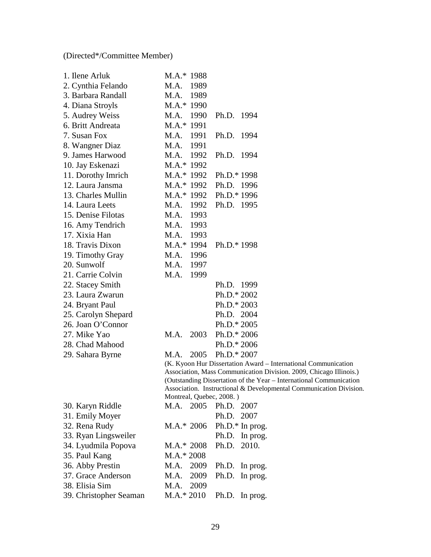(Directed\*/Committee Member)

| 1. Ilene Arluk      | $M.A.*$                                                                         | 1988 |               |      |
|---------------------|---------------------------------------------------------------------------------|------|---------------|------|
| 2. Cynthia Felando  | M.A.                                                                            | 1989 |               |      |
| 3. Barbara Randall  | M.A.                                                                            | 1989 |               |      |
| 4. Diana Stroyls    | $M.A.*$                                                                         | 1990 |               |      |
| 5. Audrey Weiss     | M.A.                                                                            | 1990 | Ph.D.         | 1994 |
| 6. Britt Andreata   | $MA.*$                                                                          | 1991 |               |      |
| 7. Susan Fox        | M.A.                                                                            | 1991 | Ph.D.         | 1994 |
| 8. Wangner Diaz     | M.A.                                                                            | 1991 |               |      |
| 9. James Harwood    | M.A.                                                                            | 1992 | Ph.D.         | 1994 |
| 10. Jay Eskenazi    | $M.A.*$                                                                         | 1992 |               |      |
| 11. Dorothy Imrich  | $M.A.*$                                                                         | 1992 | Ph.D.* 1998   |      |
| 12. Laura Jansma    | $M.A.*$                                                                         | 1992 | Ph.D.         | 1996 |
| 13. Charles Mullin  | $M.A.*$                                                                         | 1992 | Ph.D.* 1996   |      |
| 14. Laura Leets     | M.A.                                                                            | 1992 | Ph.D.         | 1995 |
| 15. Denise Filotas  | M.A.                                                                            | 1993 |               |      |
| 16. Amy Tendrich    | M.A.                                                                            | 1993 |               |      |
| 17. Xixia Han       | M.A.                                                                            | 1993 |               |      |
| 18. Travis Dixon    | $MA.*$                                                                          | 1994 | Ph.D.* 1998   |      |
| 19. Timothy Gray    | M.A.                                                                            | 1996 |               |      |
| 20. Sunwolf         | M.A.                                                                            | 1997 |               |      |
| 21. Carrie Colvin   | M.A.                                                                            | 1999 |               |      |
| 22. Stacey Smith    |                                                                                 |      | Ph.D. 1999    |      |
| 23. Laura Zwarun    |                                                                                 |      | Ph.D.* 2002   |      |
| 24. Bryant Paul     |                                                                                 |      | Ph.D.* 2003   |      |
| 25. Carolyn Shepard |                                                                                 |      | Ph.D. 2004    |      |
| 26. Joan O'Connor   |                                                                                 |      | $Ph.D.* 2005$ |      |
| 27. Mike Yao        | M.A.                                                                            | 2003 | $Ph.D.* 2006$ |      |
| 28. Chad Mahood     |                                                                                 |      | Ph.D.* 2006   |      |
| 29. Sahara Byrne    | M.A.                                                                            | 2005 | Ph.D.* 2007   |      |
|                     | (K. Kyoon Hur Dissertation Award<br>Association, Mass Communication<br>$\Omega$ |      |               |      |

– International Communication Division. 2009, Chicago Illinois.) (Outstanding Dissertation of the Year – International Communication Association. Instructional & Developmental Communication Division. Montreal, Quebec, 2008. )

| 30. Karyn Riddle       |              | M.A. 2005 Ph.D. 2007         |
|------------------------|--------------|------------------------------|
| 31. Emily Moyer        |              | Ph.D. 2007                   |
| 32. Rena Rudy          |              | $M.A.* 2006 Ph.D.* In prog.$ |
| 33. Ryan Lingsweiler   |              | Ph.D. In prog.               |
| 34. Lyudmila Popova    | $M.A.* 2008$ | Ph.D. 2010.                  |
| 35. Paul Kang          | $M.A.* 2008$ |                              |
| 36. Abby Prestin       | M.A. 2009    | Ph.D. In prog.               |
| 37. Grace Anderson     | M.A. 2009    | Ph.D. In prog.               |
| 38. Elisia Sim         | 2009<br>M.A. |                              |
| 39. Christopher Seaman | $MA.* 2010$  | Ph.D. In prog.               |
|                        |              |                              |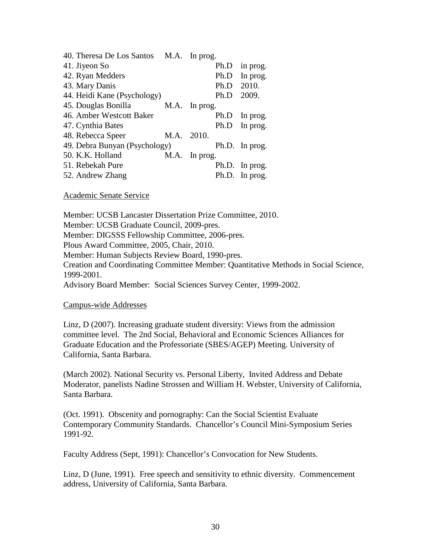| 40. Theresa De Los Santos M.A. In prog. |      |          |      |                |
|-----------------------------------------|------|----------|------|----------------|
| 41. Jiyeon So                           |      |          | Ph.D | in prog.       |
| 42. Ryan Medders                        |      |          | Ph.D | In prog.       |
| 43. Mary Danis                          |      |          | Ph.D | 2010.          |
| 44. Heidi Kane (Psychology)             |      |          | Ph.D | 2009.          |
| 45. Douglas Bonilla                     | M.A. | In prog. |      |                |
| 46. Amber Westcott Baker                |      |          | Ph.D | In prog.       |
| 47. Cynthia Bates                       |      |          | Ph.D | In prog.       |
| 48. Rebecca Speer                       | M.A. | 2010.    |      |                |
| 49. Debra Bunyan (Psychology)           |      |          |      | Ph.D. In prog. |
| 50. K.K. Holland                        | M.A. | In prog. |      |                |
| 51. Rebekah Pure                        |      |          |      | Ph.D. In prog. |
| 52. Andrew Zhang                        |      |          |      | Ph.D. In prog. |

Academic Senate Service

Member: UCSB Lancaster Dissertation Prize Committee, 2010.

Member: UCSB Graduate Council, 2009-pres.

Member: DIGSSS Fellowship Committee, 2006-pres.

Plous Award Committee, 2005, Chair, 2010.

Member: Human Subjects Review Board, 1990-pres.

Creation and Coordinating Committee Member: Quantitative Methods in Social Science, 1999-2001.

Advisory Board Member: Social Sciences Survey Center, 1999-2002.

#### Campus-wide Addresses

Linz, D (2007). Increasing graduate student diversity: Views from the admission committee level. The 2nd Social, Behavioral and Economic Sciences Alliances for Graduate Education and the Professoriate (SBES/AGEP) Meeting. University of California, Santa Barbara.

(March 2002). National Security vs. Personal Liberty, Invited Address and Debate Moderator, panelists Nadine Strossen and William H. Webster, University of California, Santa Barbara.

(Oct. 1991). Obscenity and pornography: Can the Social Scientist Evaluate Contemporary Community Standards. Chancellor's Council Mini-Symposium Series 1991-92.

Faculty Address (Sept, 1991): Chancellor's Convocation for New Students.

Linz, D (June, 1991). Free speech and sensitivity to ethnic diversity. Commencement address, University of California, Santa Barbara.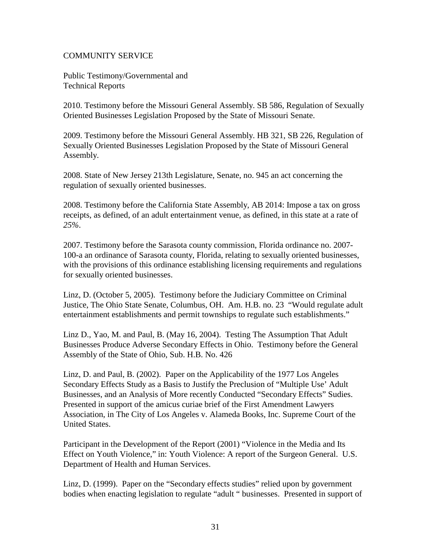### COMMUNITY SERVICE

Public Testimony/Governmental and Technical Reports

2010. Testimony before the Missouri General Assembly. SB 586, Regulation of Sexually Oriented Businesses Legislation Proposed by the State of Missouri Senate.

2009. Testimony before the Missouri General Assembly. HB 321, SB 226, Regulation of Sexually Oriented Businesses Legislation Proposed by the State of Missouri General Assembly.

2008. State of New Jersey 213th Legislature, Senate, no. 945 an act concerning the regulation of sexually oriented businesses.

2008. Testimony before the California State Assembly, AB 2014: Impose a tax on gross receipts, as defined, of an adult entertainment venue, as defined, in this state at a rate of *25%*.

2007. Testimony before the Sarasota county commission, Florida ordinance no. 2007- 100-a an ordinance of Sarasota county, Florida, relating to sexually oriented businesses, with the provisions of this ordinance establishing licensing requirements and regulations for sexually oriented businesses.

Linz, D. (October 5, 2005). Testimony before the Judiciary Committee on Criminal Justice, The Ohio State Senate, Columbus, OH. Am. H.B. no. 23 "Would regulate adult entertainment establishments and permit townships to regulate such establishments."

Linz D., Yao, M. and Paul, B. (May 16, 2004). Testing The Assumption That Adult Businesses Produce Adverse Secondary Effects in Ohio. Testimony before the General Assembly of the State of Ohio, Sub. H.B. No. 426

Linz, D. and Paul, B. (2002). Paper on the Applicability of the 1977 Los Angeles Secondary Effects Study as a Basis to Justify the Preclusion of "Multiple Use' Adult Businesses, and an Analysis of More recently Conducted "Secondary Effects" Sudies. Presented in support of the amicus curiae brief of the First Amendment Lawyers Association, in The City of Los Angeles v. Alameda Books, Inc. Supreme Court of the United States.

Participant in the Development of the Report (2001) "Violence in the Media and Its Effect on Youth Violence," in: Youth Violence: A report of the Surgeon General. U.S. Department of Health and Human Services.

Linz, D. (1999). Paper on the "Secondary effects studies" relied upon by government bodies when enacting legislation to regulate "adult " businesses. Presented in support of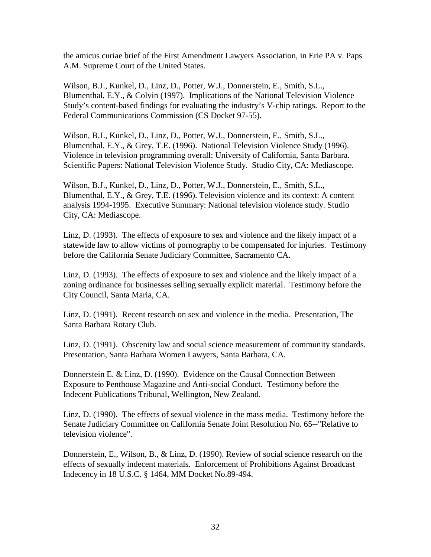the amicus curiae brief of the First Amendment Lawyers Association, in Erie PA v. Paps A.M. Supreme Court of the United States.

Wilson, B.J., Kunkel, D., Linz, D., Potter, W.J., Donnerstein, E., Smith, S.L., Blumenthal, E.Y., & Colvin (1997). Implications of the National Television Violence Study's content-based findings for evaluating the industry's V-chip ratings. Report to the Federal Communications Commission (CS Docket 97-55).

Wilson, B.J., Kunkel, D., Linz, D., Potter, W.J., Donnerstein, E., Smith, S.L., Blumenthal, E.Y., & Grey, T.E. (1996). National Television Violence Study (1996). Violence in television programming overall: University of California, Santa Barbara. Scientific Papers: National Television Violence Study. Studio City, CA: Mediascope.

Wilson, B.J., Kunkel, D., Linz, D., Potter, W.J., Donnerstein, E., Smith, S.L., Blumenthal, E.Y., & Grey, T.E. (1996). Television violence and its context: A content analysis 1994-1995. Executive Summary: National television violence study. Studio City, CA: Mediascope.

Linz, D. (1993). The effects of exposure to sex and violence and the likely impact of a statewide law to allow victims of pornography to be compensated for injuries. Testimony before the California Senate Judiciary Committee, Sacramento CA.

Linz, D. (1993). The effects of exposure to sex and violence and the likely impact of a zoning ordinance for businesses selling sexually explicit material. Testimony before the City Council, Santa Maria, CA.

Linz, D. (1991). Recent research on sex and violence in the media. Presentation, The Santa Barbara Rotary Club.

Linz, D. (1991). Obscenity law and social science measurement of community standards. Presentation, Santa Barbara Women Lawyers, Santa Barbara, CA.

Donnerstein E. & Linz, D. (1990). Evidence on the Causal Connection Between Exposure to Penthouse Magazine and Anti-social Conduct. Testimony before the Indecent Publications Tribunal, Wellington, New Zealand.

Linz, D. (1990). The effects of sexual violence in the mass media. Testimony before the Senate Judiciary Committee on California Senate Joint Resolution No. 65--"Relative to television violence".

Donnerstein, E., Wilson, B., & Linz, D. (1990). Review of social science research on the effects of sexually indecent materials. Enforcement of Prohibitions Against Broadcast Indecency in 18 U.S.C. § 1464, MM Docket No.89-494.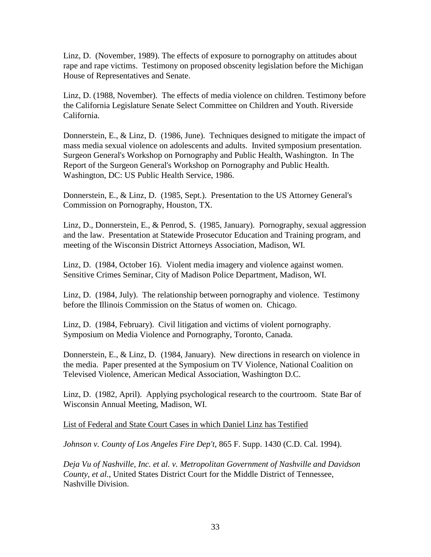Linz, D. (November, 1989). The effects of exposure to pornography on attitudes about rape and rape victims. Testimony on proposed obscenity legislation before the Michigan House of Representatives and Senate.

Linz, D. (1988, November). The effects of media violence on children. Testimony before the California Legislature Senate Select Committee on Children and Youth. Riverside California.

Donnerstein, E., & Linz, D. (1986, June). Techniques designed to mitigate the impact of mass media sexual violence on adolescents and adults. Invited symposium presentation. Surgeon General's Workshop on Pornography and Public Health, Washington. In The Report of the Surgeon General's Workshop on Pornography and Public Health. Washington, DC: US Public Health Service, 1986.

Donnerstein, E., & Linz, D. (1985, Sept.). Presentation to the US Attorney General's Commission on Pornography, Houston, TX.

Linz, D., Donnerstein, E., & Penrod, S. (1985, January). Pornography, sexual aggression and the law. Presentation at Statewide Prosecutor Education and Training program, and meeting of the Wisconsin District Attorneys Association, Madison, WI.

Linz, D. (1984, October 16). Violent media imagery and violence against women. Sensitive Crimes Seminar, City of Madison Police Department, Madison, WI.

Linz, D. (1984, July). The relationship between pornography and violence. Testimony before the Illinois Commission on the Status of women on. Chicago.

Linz, D. (1984, February). Civil litigation and victims of violent pornography. Symposium on Media Violence and Pornography, Toronto, Canada.

Donnerstein, E., & Linz, D. (1984, January). New directions in research on violence in the media. Paper presented at the Symposium on TV Violence, National Coalition on Televised Violence, American Medical Association, Washington D.C.

Linz, D. (1982, April). Applying psychological research to the courtroom. State Bar of Wisconsin Annual Meeting, Madison, WI.

List of Federal and State Court Cases in which Daniel Linz has Testified

*Johnson v. County of Los Angeles Fire Dep't*, 865 F. Supp. 1430 (C.D. Cal. 1994).

*Deja Vu of Nashville, Inc. et al. v. Metropolitan Government of Nashville and Davidson County, et al.*, United States District Court for the Middle District of Tennessee, Nashville Division.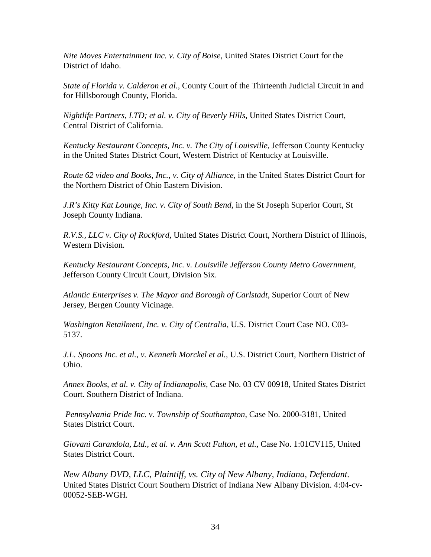*Nite Moves Entertainment Inc. v. City of Boise*, United States District Court for the District of Idaho.

*State of Florida v. Calderon et al.,* County Court of the Thirteenth Judicial Circuit in and for Hillsborough County, Florida.

*Nightlife Partners, LTD; et al. v. City of Beverly Hills*, United States District Court, Central District of California.

*Kentucky Restaurant Concepts, Inc. v. The City of Louisville,* Jefferson County Kentucky in the United States District Court, Western District of Kentucky at Louisville.

*Route 62 video and Books, Inc., v. City of Alliance*, in the United States District Court for the Northern District of Ohio Eastern Division.

*J.R's Kitty Kat Lounge, Inc. v. City of South Bend*, in the St Joseph Superior Court, St Joseph County Indiana.

*R.V.S., LLC v. City of Rockford*, United States District Court, Northern District of Illinois, Western Division.

*Kentucky Restaurant Concepts, Inc. v. Louisville Jefferson County Metro Government*, Jefferson County Circuit Court, Division Six.

*Atlantic Enterprises v. The Mayor and Borough of Carlstadt,* Superior Court of New Jersey, Bergen County Vicinage.

*Washington Retailment, Inc. v. City of Centralia*, U.S. District Court Case NO. C03- 5137.

*J.L. Spoons Inc. et al., v. Kenneth Morckel et al.,* U.S. District Court, Northern District of Ohio.

*Annex Books, et al. v. City of Indianapolis*, Case No. 03 CV 00918, United States District Court. Southern District of Indiana.

*Pennsylvania Pride Inc. v. Township of Southampton*, Case No. 2000-3181, United States District Court.

*Giovani Carandola, Ltd., et al. v. Ann Scott Fulton, et al.,* Case No. 1:01CV115, United States District Court.

*New Albany DVD, LLC, Plaintiff, vs. City of New Albany, Indiana, Defendant.* United States District Court Southern District of Indiana New Albany Division. 4:04-cv-00052-SEB-WGH.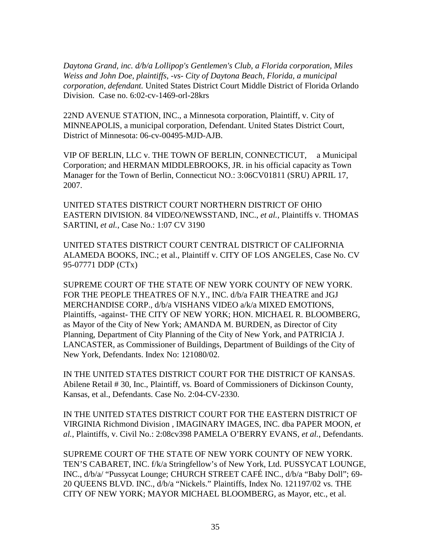*Daytona Grand, inc. d/b/a Lollipop's Gentlemen's Club, a Florida corporation, Miles Weiss and John Doe, plaintiffs, -vs- City of Daytona Beach, Florida, a municipal corporation, defendant.* United States District Court Middle District of Florida Orlando Division. Case no. 6:02-cv-1469-orl-28krs

22ND AVENUE STATION, INC., a Minnesota corporation, Plaintiff, v. City of MINNEAPOLIS, a municipal corporation, Defendant. United States District Court, District of Minnesota: 06-cv-00495-MJD-AJB.

VIP OF BERLIN, LLC v. THE TOWN OF BERLIN, CONNECTICUT, a Municipal Corporation; and HERMAN MIDDLEBROOKS, JR. in his official capacity as Town Manager for the Town of Berlin, Connecticut NO.: 3:06CV01811 (SRU) APRIL 17, 2007.

UNITED STATES DISTRICT COURT NORTHERN DISTRICT OF OHIO EASTERN DIVISION. 84 VIDEO/NEWSSTAND, INC., *et al.*, Plaintiffs v. THOMAS SARTINI, *et al.*, Case No.: 1:07 CV 3190

UNITED STATES DISTRICT COURT CENTRAL DISTRICT OF CALIFORNIA ALAMEDA BOOKS, INC.; et al., Plaintiff v. CITY OF LOS ANGELES, Case No. CV 95-07771 DDP (CTx)

SUPREME COURT OF THE STATE OF NEW YORK COUNTY OF NEW YORK. FOR THE PEOPLE THEATRES OF N.Y., INC. d/b/a FAIR THEATRE and JGJ MERCHANDISE CORP., d/b/a VISHANS VIDEO a/k/a MIXED EMOTIONS, Plaintiffs, -against- THE CITY OF NEW YORK; HON. MICHAEL R. BLOOMBERG, as Mayor of the City of New York; AMANDA M. BURDEN, as Director of City Planning, Department of City Planning of the City of New York, and PATRICIA J. LANCASTER, as Commissioner of Buildings, Department of Buildings of the City of New York, Defendants. Index No: 121080/02.

IN THE UNITED STATES DISTRICT COURT FOR THE DISTRICT OF KANSAS. Abilene Retail # 30, Inc., Plaintiff, vs. Board of Commissioners of Dickinson County, Kansas, et al., Defendants. Case No. 2:04-CV-2330.

IN THE UNITED STATES DISTRICT COURT FOR THE EASTERN DISTRICT OF VIRGINIA Richmond Division , IMAGINARY IMAGES, INC. dba PAPER MOON, *et al.*, Plaintiffs, v. Civil No.: 2:08cv398 PAMELA O'BERRY EVANS, *et al.*, Defendants.

SUPREME COURT OF THE STATE OF NEW YORK COUNTY OF NEW YORK. TEN'S CABARET, INC. f/k/a Stringfellow's of New York, Ltd. PUSSYCAT LOUNGE, INC., d/b/a/ "Pussycat Lounge; CHURCH STREET CAFÉ INC., d/b/a "Baby Doll"; 69- 20 QUEENS BLVD. INC., d/b/a "Nickels." Plaintiffs, Index No. 121197/02 vs. THE CITY OF NEW YORK; MAYOR MICHAEL BLOOMBERG, as Mayor, etc., et al.